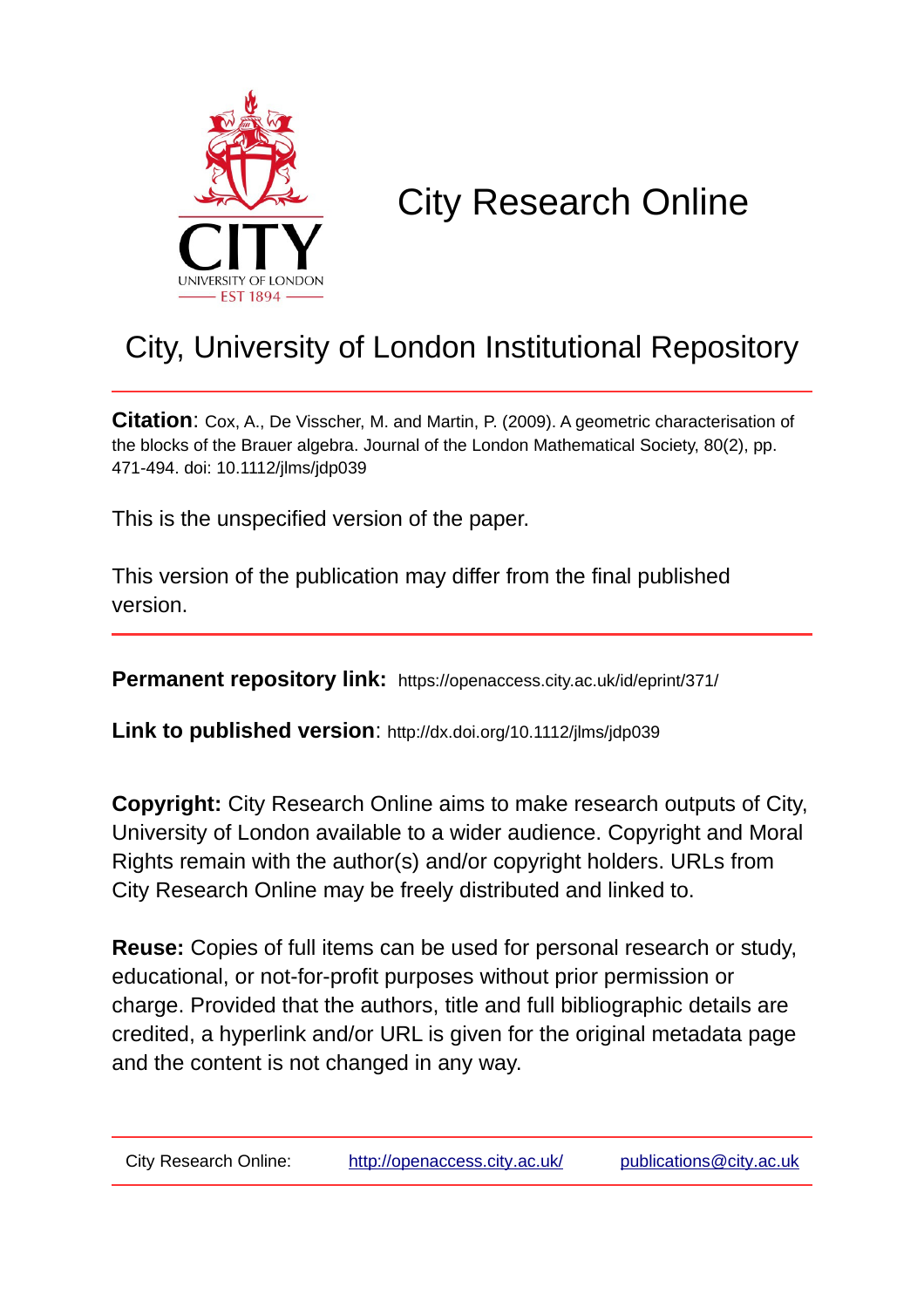

# City Research Online

## City, University of London Institutional Repository

**Citation**: Cox, A., De Visscher, M. and Martin, P. (2009). A geometric characterisation of the blocks of the Brauer algebra. Journal of the London Mathematical Society, 80(2), pp. 471-494. doi: 10.1112/jlms/jdp039

This is the unspecified version of the paper.

This version of the publication may differ from the final published version.

**Permanent repository link:** https://openaccess.city.ac.uk/id/eprint/371/

**Link to published version**: http://dx.doi.org/10.1112/jlms/jdp039

**Copyright:** City Research Online aims to make research outputs of City, University of London available to a wider audience. Copyright and Moral Rights remain with the author(s) and/or copyright holders. URLs from City Research Online may be freely distributed and linked to.

**Reuse:** Copies of full items can be used for personal research or study, educational, or not-for-profit purposes without prior permission or charge. Provided that the authors, title and full bibliographic details are credited, a hyperlink and/or URL is given for the original metadata page and the content is not changed in any way.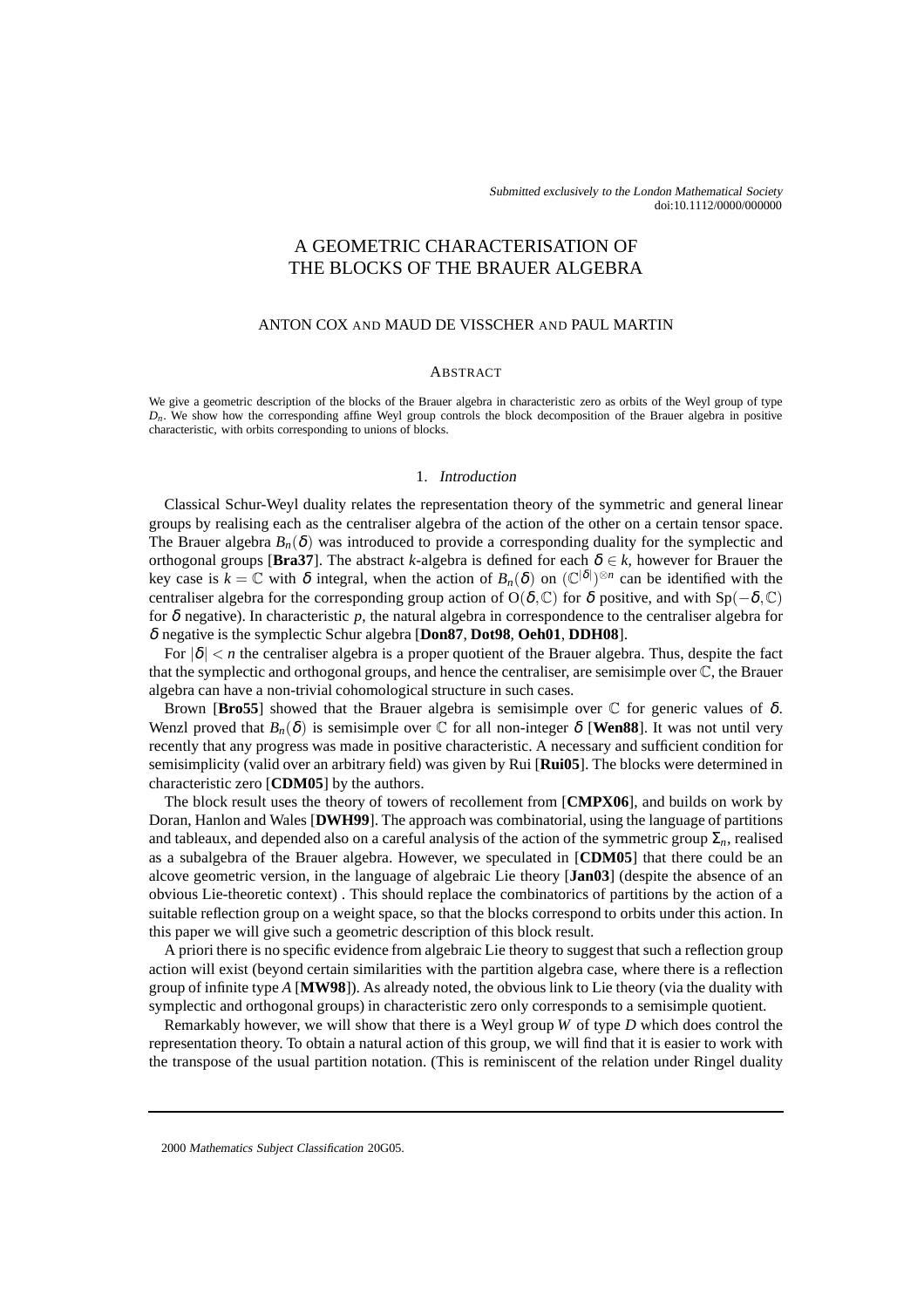## A GEOMETRIC CHARACTERISATION OF THE BLOCKS OF THE BRAUER ALGEBRA

#### ANTON COX AND MAUD DE VISSCHER AND PAUL MARTIN

#### **ABSTRACT**

We give a geometric description of the blocks of the Brauer algebra in characteristic zero as orbits of the Weyl group of type *Dn*. We show how the corresponding affine Weyl group controls the block decomposition of the Brauer algebra in positive characteristic, with orbits corresponding to unions of blocks.

### 1. Introduction

Classical Schur-Weyl duality relates the representation theory of the symmetric and general linear groups by realising each as the centraliser algebra of the action of the other on a certain tensor space. The Brauer algebra  $B_n(\delta)$  was introduced to provide a corresponding duality for the symplectic and orthogonal groups [**Bra37**]. The abstract *k*-algebra is defined for each  $\delta \in k$ , however for Brauer the key case is  $k = \mathbb{C}$  with  $\delta$  integral, when the action of  $B_n(\delta)$  on  $(\mathbb{C}^{|\delta|})^{\otimes n}$  can be identified with the centraliser algebra for the corresponding group action of O( $\delta$ ,  $\mathbb{C}$ ) for  $\delta$  positive, and with Sp( $-\delta$ ,  $\mathbb{C}$ ) for  $\delta$  negative). In characteristic  $p$ , the natural algebra in correspondence to the centraliser algebra for δ negative is the symplectic Schur algebra [**Don87**, **Dot98**, **Oeh01**, **DDH08**].

For  $|\delta| < n$  the centraliser algebra is a proper quotient of the Brauer algebra. Thus, despite the fact that the symplectic and orthogonal groups, and hence the centraliser, are semisimple over C, the Brauer algebra can have a non-trivial cohomological structure in such cases.

Brown [**Bro55**] showed that the Brauer algebra is semisimple over  $\mathbb C$  for generic values of  $\delta$ . Wenzl proved that  $B_n(\delta)$  is semisimple over  $\mathbb C$  for all non-integer  $\delta$  [**Wen88**]. It was not until very recently that any progress was made in positive characteristic. A necessary and sufficient condition for semisimplicity (valid over an arbitrary field) was given by Rui [**Rui05**]. The blocks were determined in characteristic zero [**CDM05**] by the authors.

The block result uses the theory of towers of recollement from [**CMPX06**], and builds on work by Doran, Hanlon and Wales [**DWH99**]. The approach was combinatorial, using the language of partitions and tableaux, and depended also on a careful analysis of the action of the symmetric group  $\Sigma_n$ , realised as a subalgebra of the Brauer algebra. However, we speculated in [**CDM05**] that there could be an alcove geometric version, in the language of algebraic Lie theory [**Jan03**] (despite the absence of an obvious Lie-theoretic context) . This should replace the combinatorics of partitions by the action of a suitable reflection group on a weight space, so that the blocks correspond to orbits under this action. In this paper we will give such a geometric description of this block result.

A priori there is no specific evidence from algebraic Lie theory to suggest that such a reflection group action will exist (beyond certain similarities with the partition algebra case, where there is a reflection group of infinite type *A* [**MW98**]). As already noted, the obvious link to Lie theory (via the duality with symplectic and orthogonal groups) in characteristic zero only corresponds to a semisimple quotient.

Remarkably however, we will show that there is a Weyl group *W* of type *D* which does control the representation theory. To obtain a natural action of this group, we will find that it is easier to work with the transpose of the usual partition notation. (This is reminiscent of the relation under Ringel duality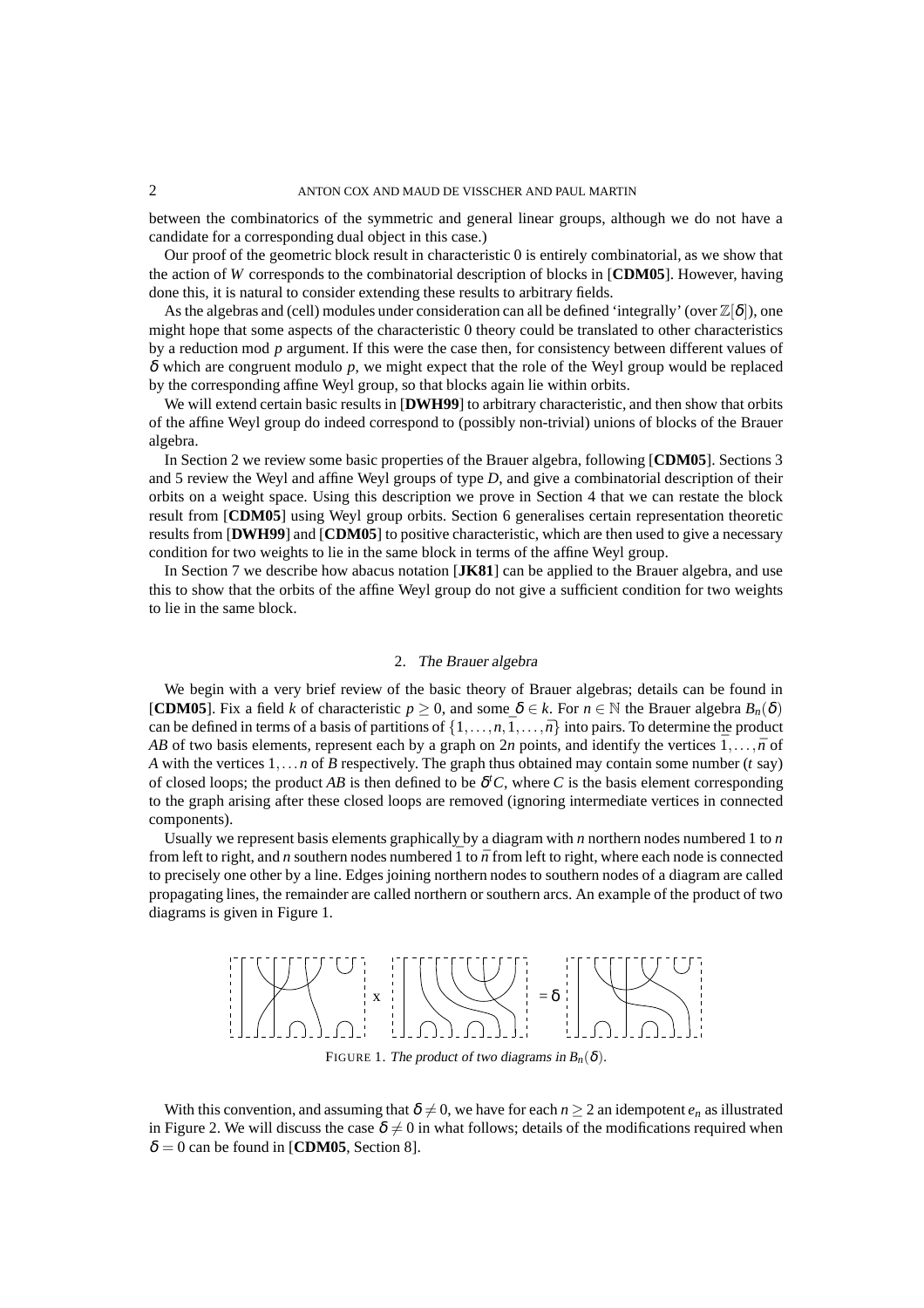between the combinatorics of the symmetric and general linear groups, although we do not have a candidate for a corresponding dual object in this case.)

Our proof of the geometric block result in characteristic 0 is entirely combinatorial, as we show that the action of *W* corresponds to the combinatorial description of blocks in [**CDM05**]. However, having done this, it is natural to consider extending these results to arbitrary fields.

As the algebras and (cell) modules under consideration can all be defined 'integrally' (over  $\mathbb{Z}[\delta]$ ), one might hope that some aspects of the characteristic 0 theory could be translated to other characteristics by a reduction mod *p* argument. If this were the case then, for consistency between different values of δ which are congruent modulo *p*, we might expect that the role of the Weyl group would be replaced by the corresponding affine Weyl group, so that blocks again lie within orbits.

We will extend certain basic results in [**DWH99**] to arbitrary characteristic, and then show that orbits of the affine Weyl group do indeed correspond to (possibly non-trivial) unions of blocks of the Brauer algebra.

In Section 2 we review some basic properties of the Brauer algebra, following [**CDM05**]. Sections 3 and 5 review the Weyl and affine Weyl groups of type *D*, and give a combinatorial description of their orbits on a weight space. Using this description we prove in Section 4 that we can restate the block result from [**CDM05**] using Weyl group orbits. Section 6 generalises certain representation theoretic results from [**DWH99**] and [**CDM05**] to positive characteristic, which are then used to give a necessary condition for two weights to lie in the same block in terms of the affine Weyl group.

In Section 7 we describe how abacus notation [**JK81**] can be applied to the Brauer algebra, and use this to show that the orbits of the affine Weyl group do not give a sufficient condition for two weights to lie in the same block.

#### 2. The Brauer algebra

We begin with a very brief review of the basic theory of Brauer algebras; details can be found in **[CDM05**]. Fix a field *k* of characteristic  $p > 0$ , and some  $\delta \in k$ . For  $n \in \mathbb{N}$  the Brauer algebra  $B_n(\delta)$ can be defined in terms of a basis of partitions of  $\{1,\ldots,n,\bar{1},\ldots,\bar{n}\}$  into pairs. To determine the product *AB* of two basis elements, represent each by a graph on 2*n* points, and identify the vertices  $\bar{1}, \ldots, \bar{n}$  of *A* with the vertices 1,...*n* of *B* respectively. The graph thus obtained may contain some number (*t* say) of closed loops; the product AB is then defined to be  $\delta^t C$ , where C is the basis element corresponding to the graph arising after these closed loops are removed (ignoring intermediate vertices in connected components).

Usually we represent basis elements graphically by a diagram with *n* northern nodes numbered 1 to *n* from left to right, and *n* southern nodes numbered  $\overline{1}$  to  $\overline{n}$  from left to right, where each node is connected to precisely one other by a line. Edges joining northern nodes to southern nodes of a diagram are called propagating lines, the remainder are called northern or southern arcs. An example of the product of two diagrams is given in Figure 1.



FIGURE 1. The product of two diagrams in  $B_n(\delta)$ .

With this convention, and assuming that  $\delta \neq 0$ , we have for each  $n \geq 2$  an idempotent  $e_n$  as illustrated in Figure 2. We will discuss the case  $\delta \neq 0$  in what follows; details of the modifications required when  $\delta = 0$  can be found in [**CDM05**, Section 8].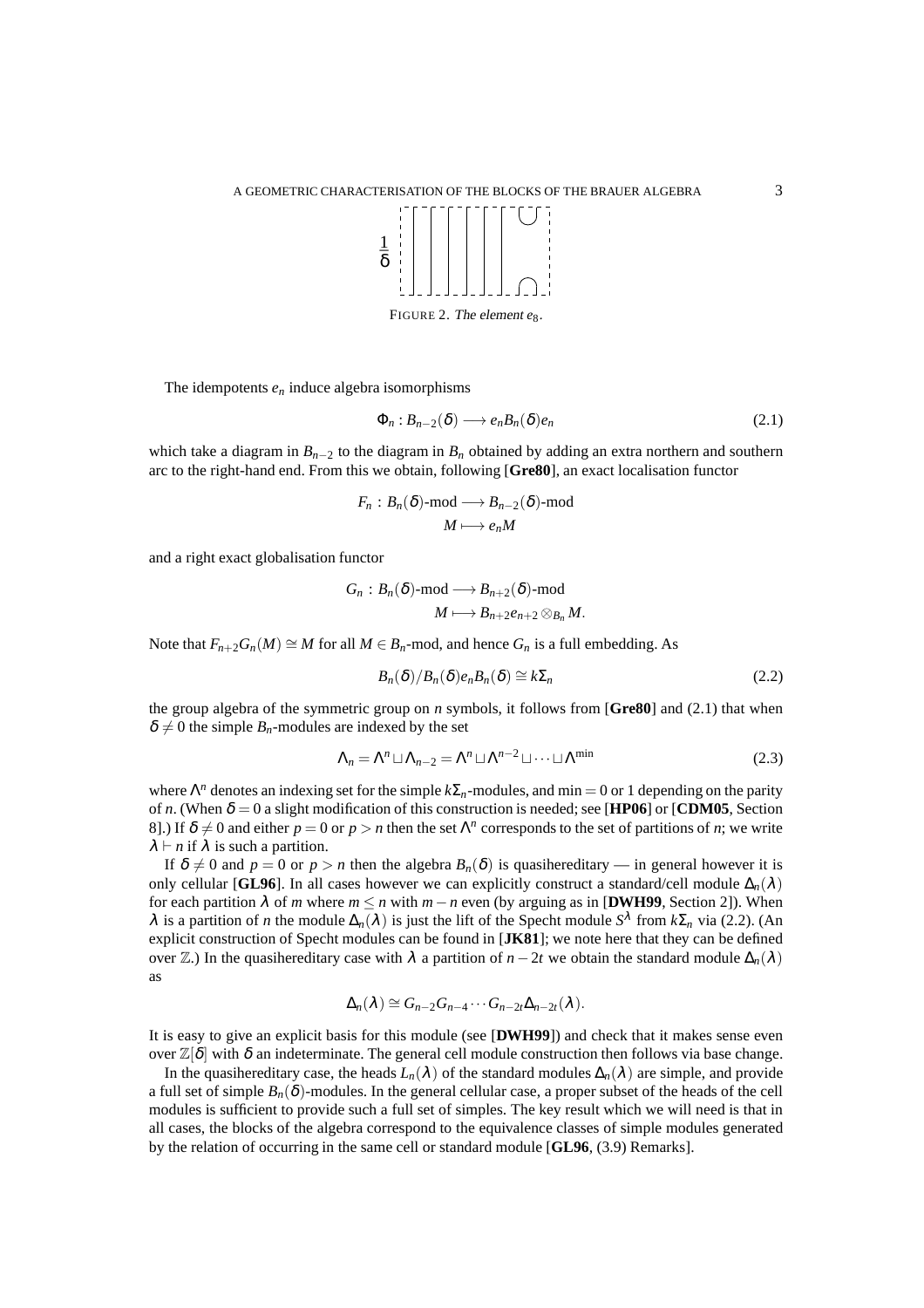

FIGURE 2. The element *e*<sub>8</sub>.

The idempotents  $e_n$  induce algebra isomorphisms

$$
\Phi_n: B_{n-2}(\delta) \longrightarrow e_n B_n(\delta) e_n \tag{2.1}
$$

which take a diagram in  $B_{n-2}$  to the diagram in  $B_n$  obtained by adding an extra northern and southern arc to the right-hand end. From this we obtain, following [**Gre80**], an exact localisation functor

$$
F_n: B_n(\delta) \text{-mod} \longrightarrow B_{n-2}(\delta) \text{-mod}
$$

$$
M \longmapsto e_n M
$$

and a right exact globalisation functor

$$
G_n:B_n(\delta)\text{-mod} \longrightarrow B_{n+2}(\delta)\text{-mod}\\ M\longmapsto B_{n+2}e_{n+2}\otimes_{B_n}M.
$$

Note that  $F_{n+2}G_n(M) \cong M$  for all  $M \in B_n$ -mod, and hence  $G_n$  is a full embedding. As

$$
B_n(\delta)/B_n(\delta)e_nB_n(\delta) \cong k\Sigma_n \tag{2.2}
$$

the group algebra of the symmetric group on *n* symbols, it follows from [**Gre80**] and (2.1) that when  $\delta \neq 0$  the simple  $B_n$ -modules are indexed by the set

$$
\Lambda_n = \Lambda^n \sqcup \Lambda_{n-2} = \Lambda^n \sqcup \Lambda^{n-2} \sqcup \dots \sqcup \Lambda^{\min}
$$
\n(2.3)

where Λ *<sup>n</sup>* denotes an indexing set for the simple *k*Σ*n*-modules, and min = 0 or 1 depending on the parity of *n*. (When  $\delta = 0$  a slight modification of this construction is needed; see [**HP06**] or [**CDM05**, Section 8. By  $\delta \neq 0$  and either  $p = 0$  or  $p > n$  then the set  $\Lambda^n$  corresponds to the set of partitions of *n*; we write  $\lambda \vdash n$  if  $\lambda$  is such a partition.

If  $\delta \neq 0$  and  $p = 0$  or  $p > n$  then the algebra  $B_n(\delta)$  is quasihereditary — in general however it is only cellular [**GL96**]. In all cases however we can explicitly construct a standard/cell module  $\Delta_n(\lambda)$ for each partition  $\lambda$  of *m* where  $m \le n$  with  $m - n$  even (by arguing as in [**DWH99**, Section 2]). When λ is a partition of *n* the module  $\Delta_n(\lambda)$  is just the lift of the Specht module  $S^{\lambda}$  from  $k\Sigma_n$  via (2.2). (An explicit construction of Specht modules can be found in [**JK81**]; we note here that they can be defined over  $\mathbb{Z}$ .) In the quasihereditary case with  $\lambda$  a partition of *n*−2*t* we obtain the standard module  $\Delta_n(\lambda)$ as

$$
\Delta_n(\lambda) \cong G_{n-2}G_{n-4}\cdots G_{n-2t}\Delta_{n-2t}(\lambda).
$$

It is easy to give an explicit basis for this module (see [**DWH99**]) and check that it makes sense even over  $\mathbb{Z}[\delta]$  with  $\delta$  an indeterminate. The general cell module construction then follows via base change.

In the quasihereditary case, the heads  $L_n(\lambda)$  of the standard modules  $\Delta_n(\lambda)$  are simple, and provide a full set of simple  $B_n(\delta)$ -modules. In the general cellular case, a proper subset of the heads of the cell modules is sufficient to provide such a full set of simples. The key result which we will need is that in all cases, the blocks of the algebra correspond to the equivalence classes of simple modules generated by the relation of occurring in the same cell or standard module [**GL96**, (3.9) Remarks].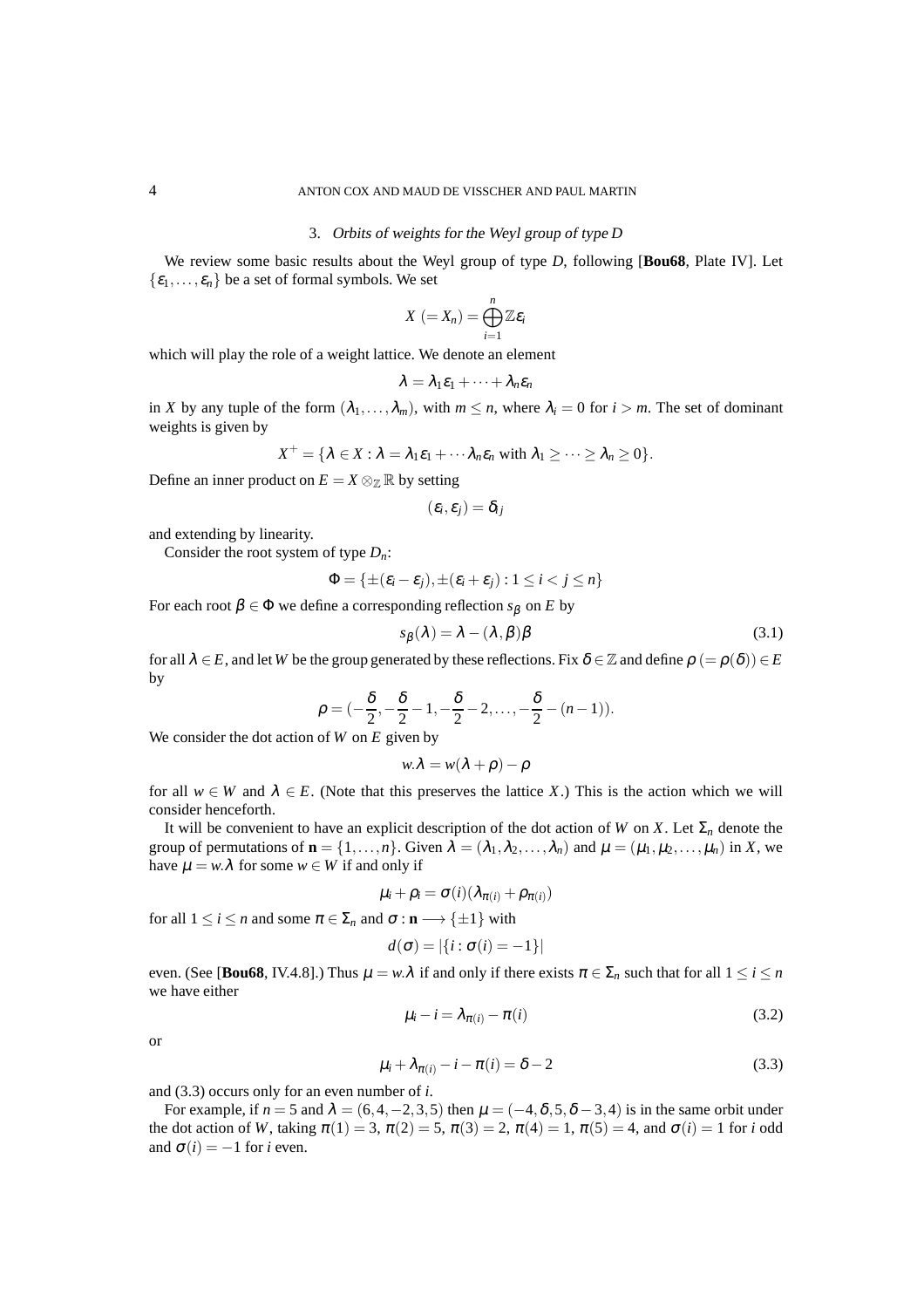#### 3. Orbits of weights for the Weyl group of type *D*

We review some basic results about the Weyl group of type *D*, following [**Bou68**, Plate IV]. Let  $\{\varepsilon_1,\ldots,\varepsilon_n\}$  be a set of formal symbols. We set

$$
X\ (=X_n)=\bigoplus_{i=1}^n\mathbb{Z}\varepsilon_i
$$

which will play the role of a weight lattice. We denote an element

$$
\lambda=\lambda_1\varepsilon_1+\cdots+\lambda_n\varepsilon_n
$$

in *X* by any tuple of the form  $(\lambda_1, \ldots, \lambda_m)$ , with  $m \leq n$ , where  $\lambda_i = 0$  for  $i > m$ . The set of dominant weights is given by

$$
X^+ = \{ \lambda \in X : \lambda = \lambda_1 \varepsilon_1 + \cdots \lambda_n \varepsilon_n \text{ with } \lambda_1 \geq \cdots \geq \lambda_n \geq 0 \}.
$$

Define an inner product on  $E = X \otimes_{\mathbb{Z}} \mathbb{R}$  by setting

$$
(\varepsilon_i,\varepsilon_j)=\delta_{ij}
$$

and extending by linearity.

Consider the root system of type *Dn*:

$$
\Phi = \{ \pm (\varepsilon_i - \varepsilon_j), \pm (\varepsilon_i + \varepsilon_j) : 1 \leq i < j \leq n \}
$$

For each root  $\beta \in \Phi$  we define a corresponding reflection  $s_{\beta}$  on *E* by

$$
s_{\beta}(\lambda) = \lambda - (\lambda, \beta)\beta \tag{3.1}
$$

for all  $\lambda \in E$ , and let *W* be the group generated by these reflections. Fix  $\delta \in \mathbb{Z}$  and define  $\rho (= \rho(\delta)) \in E$ by

$$
\rho = (-\frac{\delta}{2}, -\frac{\delta}{2} - 1, -\frac{\delta}{2} - 2, \dots, -\frac{\delta}{2} - (n-1)).
$$

We consider the dot action of *W* on *E* given by

$$
w.\lambda = w(\lambda + \rho) - \rho
$$

for all  $w \in W$  and  $\lambda \in E$ . (Note that this preserves the lattice X.) This is the action which we will consider henceforth.

It will be convenient to have an explicit description of the dot action of *W* on *X*. Let  $\Sigma_n$  denote the group of permutations of  $\mathbf{n} = \{1, ..., n\}$ . Given  $\lambda = (\lambda_1, \lambda_2, ..., \lambda_n)$  and  $\mu = (\mu_1, \mu_2, ..., \mu_n)$  in *X*, we have  $\mu = w.\lambda$  for some  $w \in W$  if and only if

$$
\mu_i + \rho_i = \sigma(i)(\lambda_{\pi(i)} + \rho_{\pi(i)})
$$

for all  $1 \le i \le n$  and some  $\pi \in \Sigma_n$  and  $\sigma : \mathbf{n} \longrightarrow {\pm 1}$  with

$$
d(\sigma) = |\{i : \sigma(i) = -1\}|
$$

even. (See [**Bou68**, IV.4.8].) Thus  $\mu = w.\lambda$  if and only if there exists  $\pi \in \Sigma_n$  such that for all  $1 \le i \le n$ we have either

$$
\mu_i - i = \lambda_{\pi(i)} - \pi(i) \tag{3.2}
$$

or

$$
\mu_i + \lambda_{\pi(i)} - i - \pi(i) = \delta - 2 \tag{3.3}
$$

and (3.3) occurs only for an even number of *i*.

For example, if  $n = 5$  and  $\lambda = (6, 4, -2, 3, 5)$  then  $\mu = (-4, 8, 5, 8, -3, 4)$  is in the same orbit under the dot action of *W*, taking  $\pi(1) = 3$ ,  $\pi(2) = 5$ ,  $\pi(3) = 2$ ,  $\pi(4) = 1$ ,  $\pi(5) = 4$ , and  $\sigma(i) = 1$  for *i* odd and  $\sigma(i) = -1$  for *i* even.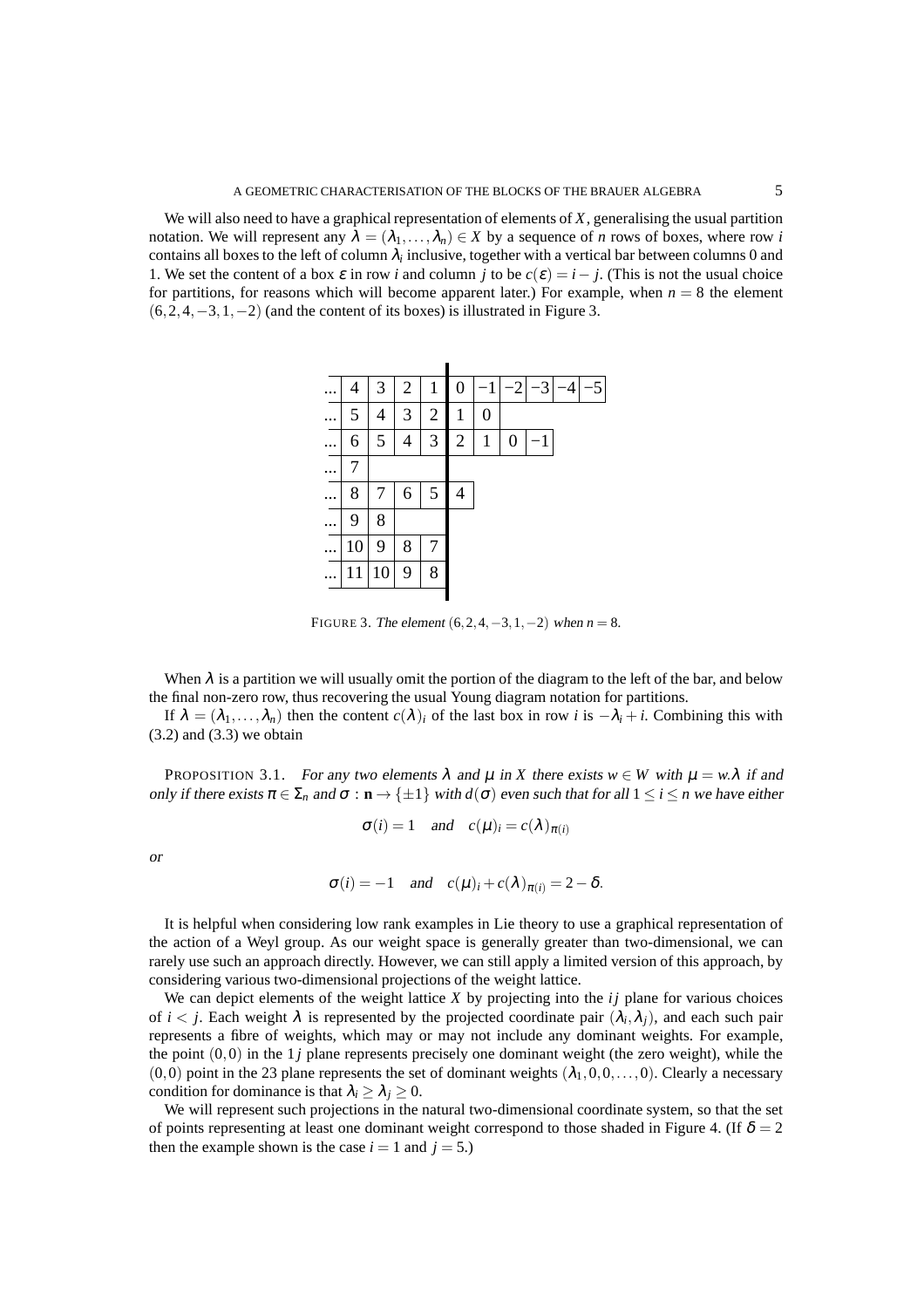We will also need to have a graphical representation of elements of *X*, generalising the usual partition notation. We will represent any  $\lambda = (\lambda_1, \dots, \lambda_n) \in X$  by a sequence of *n* rows of boxes, where row *i* contains all boxes to the left of column  $\lambda_i$  inclusive, together with a vertical bar between columns 0 and 1. We set the content of a box  $\varepsilon$  in row *i* and column *j* to be  $c(\varepsilon) = i - j$ . (This is not the usual choice for partitions, for reasons which will become apparent later.) For example, when  $n = 8$  the element  $(6,2,4,-3,1,-2)$  (and the content of its boxes) is illustrated in Figure 3.



FIGURE 3. The element  $(6, 2, 4, -3, 1, -2)$  when  $n = 8$ .

When  $\lambda$  is a partition we will usually omit the portion of the diagram to the left of the bar, and below the final non-zero row, thus recovering the usual Young diagram notation for partitions.

If  $\lambda = (\lambda_1, \dots, \lambda_n)$  then the content  $c(\lambda)_i$  of the last box in row *i* is  $-\lambda_i + i$ . Combining this with  $(3.2)$  and  $(3.3)$  we obtain

PROPOSITION 3.1. For any two elements  $\lambda$  and  $\mu$  in *X* there exists  $w \in W$  with  $\mu = w.\lambda$  if and only if there exists  $\pi \in \Sigma_n$  and  $\sigma : \mathbf{n} \to \{\pm 1\}$  with  $d(\sigma)$  even such that for all  $1 \le i \le n$  we have either

$$
\sigma(i) = 1
$$
 and  $c(\mu)_i = c(\lambda)_{\pi(i)}$ 

or

$$
\sigma(i) = -1
$$
 and  $c(\mu)_i + c(\lambda)_{\pi(i)} = 2 - \delta$ .

It is helpful when considering low rank examples in Lie theory to use a graphical representation of the action of a Weyl group. As our weight space is generally greater than two-dimensional, we can rarely use such an approach directly. However, we can still apply a limited version of this approach, by considering various two-dimensional projections of the weight lattice.

We can depict elements of the weight lattice *X* by projecting into the *ij* plane for various choices of  $i < j$ . Each weight  $\lambda$  is represented by the projected coordinate pair  $(\lambda_i, \lambda_j)$ , and each such pair represents a fibre of weights, which may or may not include any dominant weights. For example, the point  $(0,0)$  in the 1*j* plane represents precisely one dominant weight (the zero weight), while the  $(0,0)$  point in the 23 plane represents the set of dominant weights  $(\lambda_1,0,0,\ldots,0)$ . Clearly a necessary condition for dominance is that  $\lambda_i \geq \lambda_j \geq 0$ .

We will represent such projections in the natural two-dimensional coordinate system, so that the set of points representing at least one dominant weight correspond to those shaded in Figure 4. (If  $\delta = 2$ ) then the example shown is the case  $i = 1$  and  $j = 5$ .)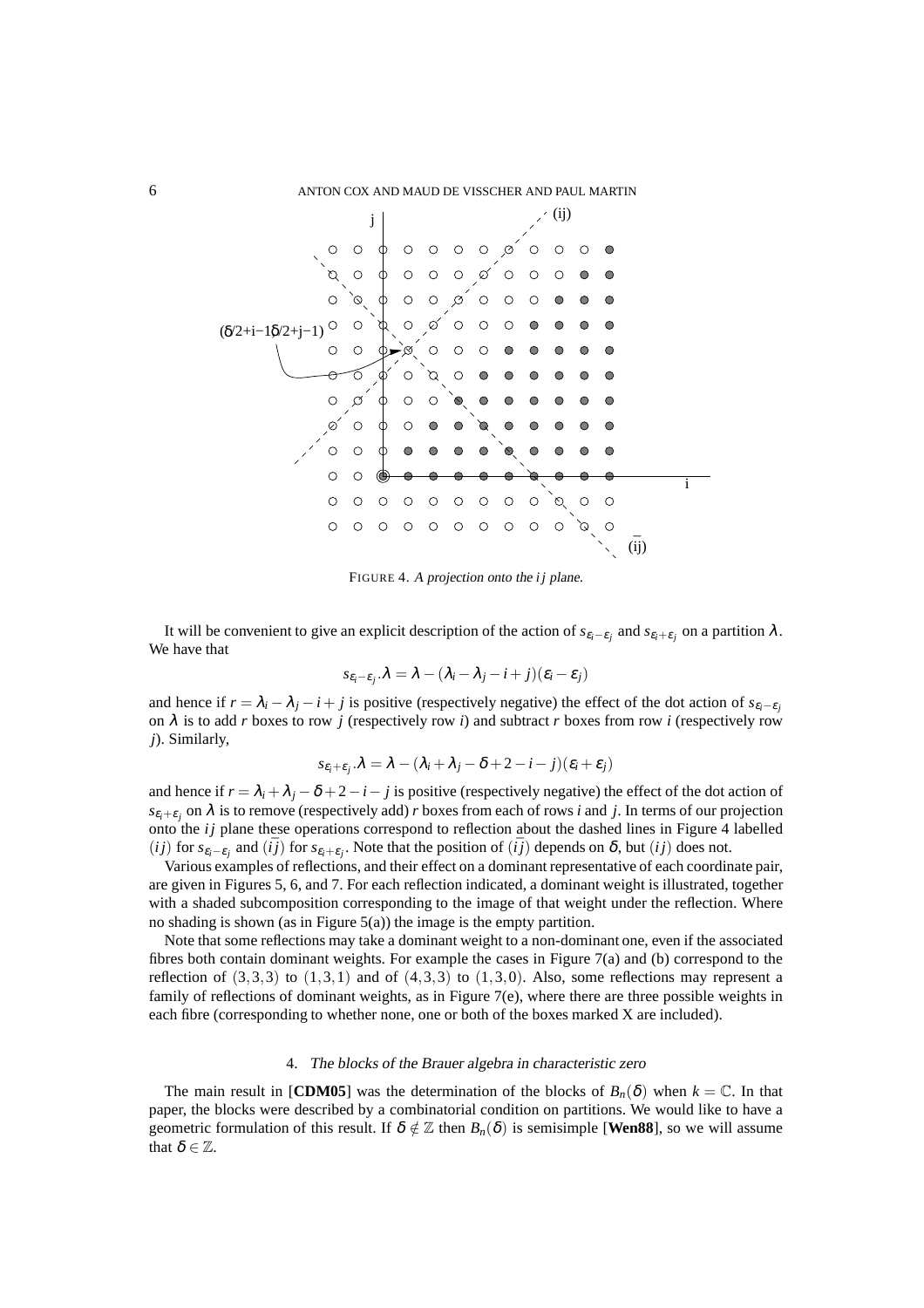

FIGURE 4. <sup>A</sup> projection onto the *i j* plane.

It will be convenient to give an explicit description of the action of  $s_{\varepsilon_i-\varepsilon_j}$  and  $s_{\varepsilon_i+\varepsilon_j}$  on a partition  $\lambda$ . We have that

$$
s_{\varepsilon_i-\varepsilon_j}.\lambda=\lambda-(\lambda_i-\lambda_j-i+j)(\varepsilon_i-\varepsilon_j)
$$

and hence if  $r = \lambda_i - \lambda_j - i + j$  is positive (respectively negative) the effect of the dot action of  $s_{\varepsilon_i-\varepsilon_j}$ on  $\lambda$  is to add *r* boxes to row *j* (respectively row *i*) and subtract *r* boxes from row *i* (respectively row *j*). Similarly,

$$
s_{\varepsilon_i+\varepsilon_j}.\lambda = \lambda - (\lambda_i + \lambda_j - \delta + 2 - i - j)(\varepsilon_i + \varepsilon_j)
$$

and hence if  $r = \lambda_i + \lambda_j - \delta + 2 - i - j$  is positive (respectively negative) the effect of the dot action of  $s_{\varepsilon_i+\varepsilon_j}$  on  $\lambda$  is to remove (respectively add) *r* boxes from each of rows *i* and *j*. In terms of our projection onto the *ij* plane these operations correspond to reflection about the dashed lines in Figure 4 labelled (*ij*) for  $s_{\varepsilon_i-\varepsilon_j}$  and ( $\overline{ij}$ ) for  $s_{\varepsilon_i+\varepsilon_j}$ . Note that the position of ( $\overline{ij}$ ) depends on  $\delta$ , but (*ij*) does not.

Various examples of reflections, and their effect on a dominant representative of each coordinate pair, are given in Figures 5, 6, and 7. For each reflection indicated, a dominant weight is illustrated, together with a shaded subcomposition corresponding to the image of that weight under the reflection. Where no shading is shown (as in Figure 5(a)) the image is the empty partition.

Note that some reflections may take a dominant weight to a non-dominant one, even if the associated fibres both contain dominant weights. For example the cases in Figure 7(a) and (b) correspond to the reflection of  $(3,3,3)$  to  $(1,3,1)$  and of  $(4,3,3)$  to  $(1,3,0)$ . Also, some reflections may represent a family of reflections of dominant weights, as in Figure  $7(e)$ , where there are three possible weights in each fibre (corresponding to whether none, one or both of the boxes marked X are included).

#### 4. The blocks of the Brauer algebra in characteristic zero

The main result in [**CDM05**] was the determination of the blocks of  $B_n(\delta)$  when  $k = \mathbb{C}$ . In that paper, the blocks were described by a combinatorial condition on partitions. We would like to have a geometric formulation of this result. If  $\delta \notin \mathbb{Z}$  then  $B_n(\delta)$  is semisimple [**Wen88**], so we will assume that  $\delta \in \mathbb{Z}$ .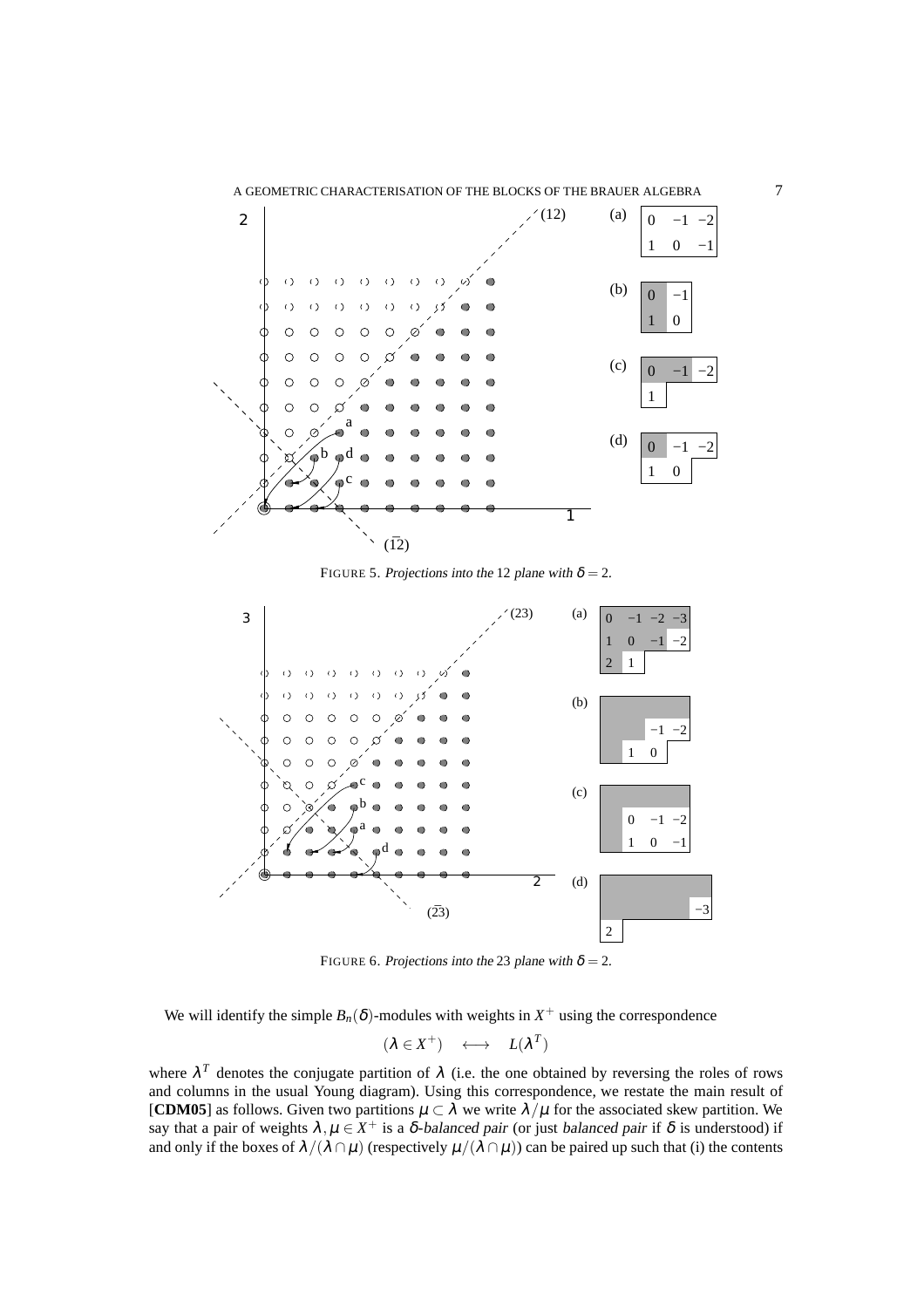

FIGURE 5. Projections into the 12 plane with  $\delta = 2$ .



FIGURE 6. Projections into the 23 plane with  $\delta = 2$ .

We will identify the simple  $B_n(\delta)$ -modules with weights in  $X^+$  using the correspondence

$$
(\lambda \in X^+) \quad \longleftrightarrow \quad L(\lambda^T)
$$

where  $\lambda^T$  denotes the conjugate partition of  $\lambda$  (i.e. the one obtained by reversing the roles of rows and columns in the usual Young diagram). Using this correspondence, we restate the main result of [**CDM05**] as follows. Given two partitions  $\mu \subset \lambda$  we write  $\lambda/\mu$  for the associated skew partition. We say that a pair of weights  $\lambda, \mu \in X^+$  is a  $\delta$ -balanced pair (or just balanced pair if  $\delta$  is understood) if and only if the boxes of  $\lambda/(\lambda \cap \mu)$  (respectively  $\mu/(\lambda \cap \mu)$ ) can be paired up such that (i) the contents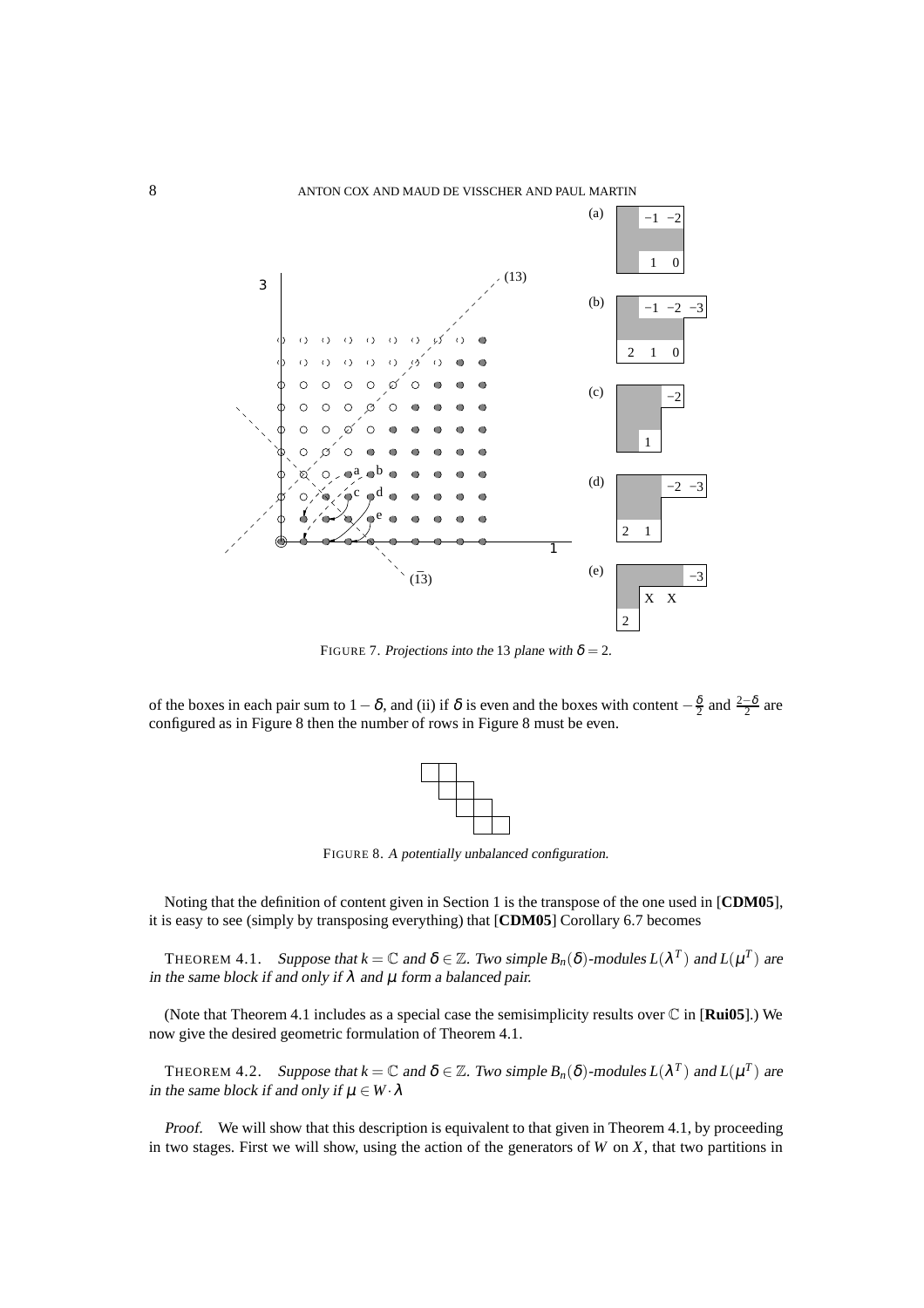

FIGURE 7. Projections into the 13 plane with  $\delta = 2$ .

of the boxes in each pair sum to  $1-\delta$ , and (ii) if  $\delta$  is even and the boxes with content  $-\frac{\delta}{2}$  and  $\frac{2-\delta}{2}$  are configured as in Figure 8 then the number of rows in Figure 8 must be even.



FIGURE 8. <sup>A</sup> potentially unbalanced configuration.

Noting that the definition of content given in Section 1 is the transpose of the one used in [**CDM05**], it is easy to see (simply by transposing everything) that [**CDM05**] Corollary 6.7 becomes

THEOREM 4.1. Suppose that  $k = \mathbb{C}$  and  $\delta \in \mathbb{Z}$ . Two simple  $B_n(\delta)$ -modules  $L(\lambda^T)$  and  $L(\mu^T)$  are in the same block if and only if  $\lambda$  and  $\mu$  form a balanced pair.

(Note that Theorem 4.1 includes as a special case the semisimplicity results over C in [**Rui05**].) We now give the desired geometric formulation of Theorem 4.1.

THEOREM 4.2. Suppose that  $k = \mathbb{C}$  and  $\delta \in \mathbb{Z}$ . Two simple  $B_n(\delta)$ -modules  $L(\lambda^T)$  and  $L(\mu^T)$  are in the same block if and only if  $\mu \in W \cdot \lambda$ 

Proof. We will show that this description is equivalent to that given in Theorem 4.1, by proceeding in two stages. First we will show, using the action of the generators of  $W$  on  $X$ , that two partitions in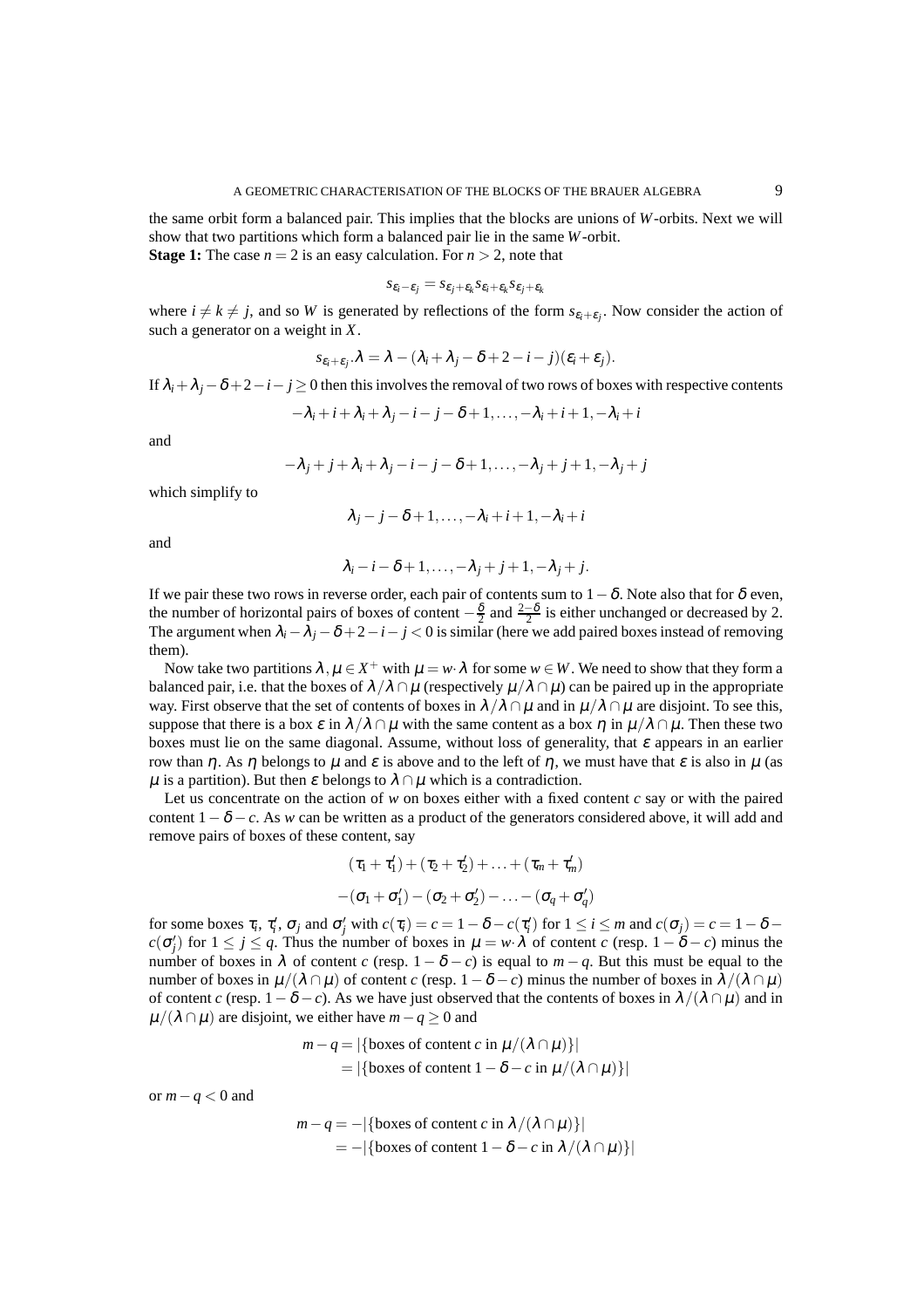the same orbit form a balanced pair. This implies that the blocks are unions of *W*-orbits. Next we will show that two partitions which form a balanced pair lie in the same *W*-orbit. **Stage 1:** The case  $n = 2$  is an easy calculation. For  $n > 2$ , note that

$$
s_{\varepsilon_i-\varepsilon_j}=s_{\varepsilon_j+\varepsilon_k}s_{\varepsilon_i+\varepsilon_k}s_{\varepsilon_j+\varepsilon_k}
$$

where  $i \neq k \neq j$ , and so *W* is generated by reflections of the form  $s_{\varepsilon_i+\varepsilon_j}$ . Now consider the action of such a generator on a weight in *X*.

$$
s_{\varepsilon_i+\varepsilon_j}.\lambda=\lambda-(\lambda_i+\lambda_j-\delta+2-i-j)(\varepsilon_i+\varepsilon_j).
$$

If  $\lambda_i + \lambda_j - \delta + 2 - i - j \ge 0$  then this involves the removal of two rows of boxes with respective contents

$$
-\lambda_i+i+\lambda_i+\lambda_j-i-j-\delta+1,\ldots,-\lambda_i+i+1,-\lambda_i+i
$$

and

$$
-\lambda_j+j+\lambda_i+\lambda_j-i-j-\delta+1,\ldots,-\lambda_j+j+1,-\lambda_j+j
$$

which simplify to

$$
\lambda_j-j-\delta+1,\ldots,-\lambda_i+i+1,-\lambda_i+i
$$

and

$$
\lambda_i - i - \delta + 1, \ldots, -\lambda_j + j + 1, -\lambda_j + j.
$$

If we pair these two rows in reverse order, each pair of contents sum to  $1-\delta$ . Note also that for  $\delta$  even, the number of horizontal pairs of boxes of content  $-\frac{\delta}{2}$  and  $\frac{2-\delta}{2}$  is either unchanged or decreased by 2. The argument when  $\lambda_i - \lambda_j - \delta + 2 - i - j < 0$  is similar (here we add paired boxes instead of removing them).

Now take two partitions  $\lambda, \mu \in X^+$  with  $\mu = w \cdot \lambda$  for some  $w \in W$ . We need to show that they form a balanced pair, i.e. that the boxes of  $\lambda/\lambda \cap \mu$  (respectively  $\mu/\lambda \cap \mu$ ) can be paired up in the appropriate way. First observe that the set of contents of boxes in  $\lambda/\lambda \cap \mu$  and in  $\mu/\lambda \cap \mu$  are disjoint. To see this, suppose that there is a box  $\varepsilon$  in  $\lambda/\lambda \cap \mu$  with the same content as a box  $\eta$  in  $\mu/\lambda \cap \mu$ . Then these two boxes must lie on the same diagonal. Assume, without loss of generality, that  $\varepsilon$  appears in an earlier row than η. As η belongs to  $\mu$  and  $\varepsilon$  is above and to the left of η, we must have that  $\varepsilon$  is also in  $\mu$  (as  $\mu$  is a partition). But then  $\varepsilon$  belongs to  $\lambda \cap \mu$  which is a contradiction.

Let us concentrate on the action of  $w$  on boxes either with a fixed content  $c$  say or with the paired content  $1-\delta-c$ . As *w* can be written as a product of the generators considered above, it will add and remove pairs of boxes of these content, say

$$
(\tau_1 + \tau_1') + (\tau_2 + \tau_2') + \ldots + (\tau_m + \tau_m')
$$

$$
-(\sigma_1 + \sigma_1') - (\sigma_2 + \sigma_2') - \ldots - (\sigma_q + \sigma_q')
$$

for some boxes  $\tau_i$ ,  $\tau'_i$ ,  $\sigma_j$  and  $\sigma'_j$  with  $c(\tau_i) = c = 1 - \delta - c(\tau'_i)$  for  $1 \le i \le m$  and  $c(\sigma_j) = c = 1 - \delta - c$  $c(\sigma'_j)$  for  $1 \leq j \leq q$ . Thus the number of boxes in  $\mu = w \cdot \lambda$  of content *c* (resp.  $1 - \delta - c$ ) minus the number of boxes in  $\lambda$  of content *c* (resp.  $1 - \delta - c$ ) is equal to *m* − *q*. But this must be equal to the number of boxes in  $\mu/(\lambda \cap \mu)$  of content *c* (resp.  $1-\delta-c$ ) minus the number of boxes in  $\lambda/(\lambda \cap \mu)$ of content *c* (resp.  $1-\delta-c$ ). As we have just observed that the contents of boxes in  $\lambda/(\lambda \cap \mu)$  and in  $\mu/(\lambda \cap \mu)$  are disjoint, we either have  $m-q \geq 0$  and

$$
m - q = |\{\text{boxes of content } c \text{ in } \mu/(\lambda \cap \mu)\}|
$$
  
= |\{boxes of content 1 - \delta - c \text{ in } \mu/(\lambda \cap \mu)\}|

or *m*−*q* < 0 and

$$
m - q = - |\{\text{boxes of content } c \text{ in } \lambda / (\lambda \cap \mu)\}|
$$
  
= - |\{boxes of content 1 - \delta - c in \lambda / (\lambda \cap \mu)\}|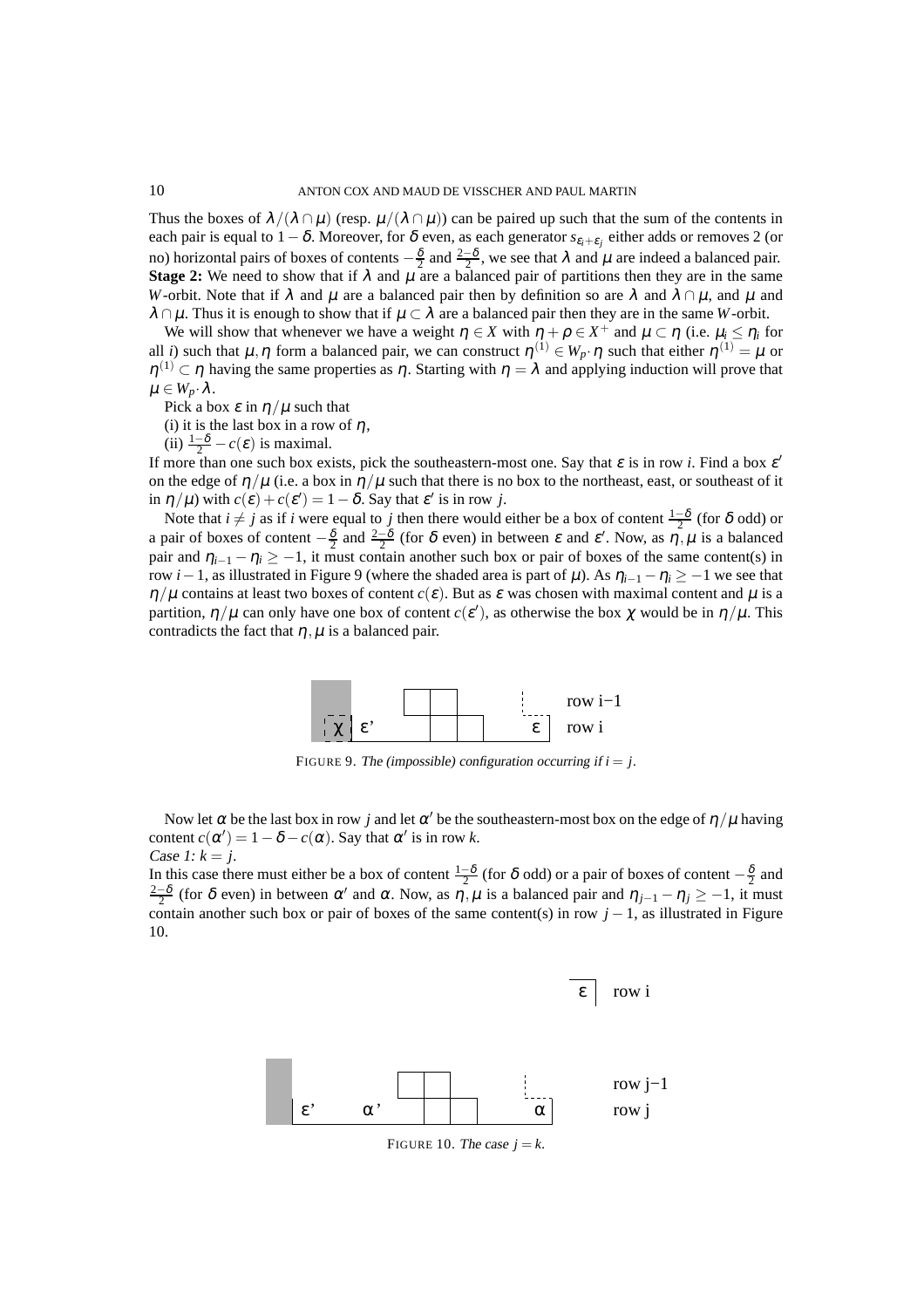Thus the boxes of  $\lambda/(\lambda \cap \mu)$  (resp.  $\mu/(\lambda \cap \mu)$ ) can be paired up such that the sum of the contents in each pair is equal to  $1-\delta.$  Moreover, for  $\delta$  even, as each generator  $s_{\varepsilon_i+\varepsilon_j}$  either adds or removes 2 (or no) horizontal pairs of boxes of contents  $-\frac{\delta}{2}$  and  $\frac{2-\delta}{2}$ , we see that  $\lambda$  and  $\mu$  are indeed a balanced pair. **Stage 2:** We need to show that if  $\lambda$  and  $\mu$  are a balanced pair of partitions then they are in the same *W*-orbit. Note that if  $\lambda$  and  $\mu$  are a balanced pair then by definition so are  $\lambda$  and  $\lambda \cap \mu$ , and  $\mu$  and  $\lambda \cap \mu$ . Thus it is enough to show that if  $\mu \subset \lambda$  are a balanced pair then they are in the same *W*-orbit.

We will show that whenever we have a weight  $\eta \in X$  with  $\eta + \rho \in X^+$  and  $\mu \subset \eta$  (i.e.  $\mu_i \leq \eta_i$  for all *i*) such that  $\mu, \eta$  form a balanced pair, we can construct  $\eta^{(1)} \in W_p \cdot \eta$  such that either  $\eta^{(1)} = \mu$  or  $\eta^{(1)} \subset \eta$  having the same properties as  $\eta$ . Starting with  $\eta = \lambda$  and applying induction will prove that  $\mu \in W_p \cdot \lambda$ .

Pick a box  $\varepsilon$  in  $\eta/\mu$  such that

(i) it is the last box in a row of  $\eta$ ,

(ii)  $\frac{1-\delta}{2} - c(\varepsilon)$  is maximal.

If more than one such box exists, pick the southeastern-most one. Say that  $\varepsilon$  is in row *i*. Find a box  $\varepsilon'$ on the edge of  $\eta/\mu$  (i.e. a box in  $\eta/\mu$  such that there is no box to the northeast, east, or southeast of it in  $\eta/\mu$ ) with  $c(\varepsilon) + c(\varepsilon') = 1 - \delta$ . Say that  $\varepsilon'$  is in row *j*.

Note that  $i \neq j$  as if *i* were equal to *j* then there would either be a box of content  $\frac{1-\delta}{2}$  (for  $\delta$  odd) or a pair of boxes of content  $-\frac{\delta}{2}$  and  $\frac{2-\delta}{2}$  (for  $\delta$  even) in between  $\varepsilon$  and  $\varepsilon'$ . Now, as  $\eta, \mu$  is a balanced pair and  $\eta_{i-1} - \eta_i > -1$ , it must contain another such box or pair of boxes of the same content(s) in row *i*−1, as illustrated in Figure 9 (where the shaded area is part of  $\mu$ ). As  $\eta_{i-1} - \eta_i \ge -1$  we see that  $\eta/\mu$  contains at least two boxes of content *c*( $\varepsilon$ ). But as  $\varepsilon$  was chosen with maximal content and  $\mu$  is a partition,  $\eta/\mu$  can only have one box of content  $c(\varepsilon')$ , as otherwise the box  $\chi$  would be in  $\eta/\mu$ . This contradicts the fact that  $\eta$ ,  $\mu$  is a balanced pair.



FIGURE 9. The (impossible) configuration occurring if  $i = j$ .

Now let  $\alpha$  be the last box in row *j* and let  $\alpha'$  be the southeastern-most box on the edge of  $\eta/\mu$  having content  $c(\alpha') = 1 - \delta - c(\alpha)$ . Say that  $\alpha'$  is in row *k*. Case 1:  $k = j$ .

In this case there must either be a box of content  $\frac{1-\delta}{2}$  (for  $\delta$  odd) or a pair of boxes of content  $-\frac{\delta}{2}$  and  $\frac{2-\delta}{2}$  (for δ even) in between α' and α. Now, as  $η, μ$  is a balanced pair and  $η_{j-1} - η_j ≥ -1$ , it must contain another such box or pair of boxes of the same content(s) in row  $j - 1$ , as illustrated in Figure 10.



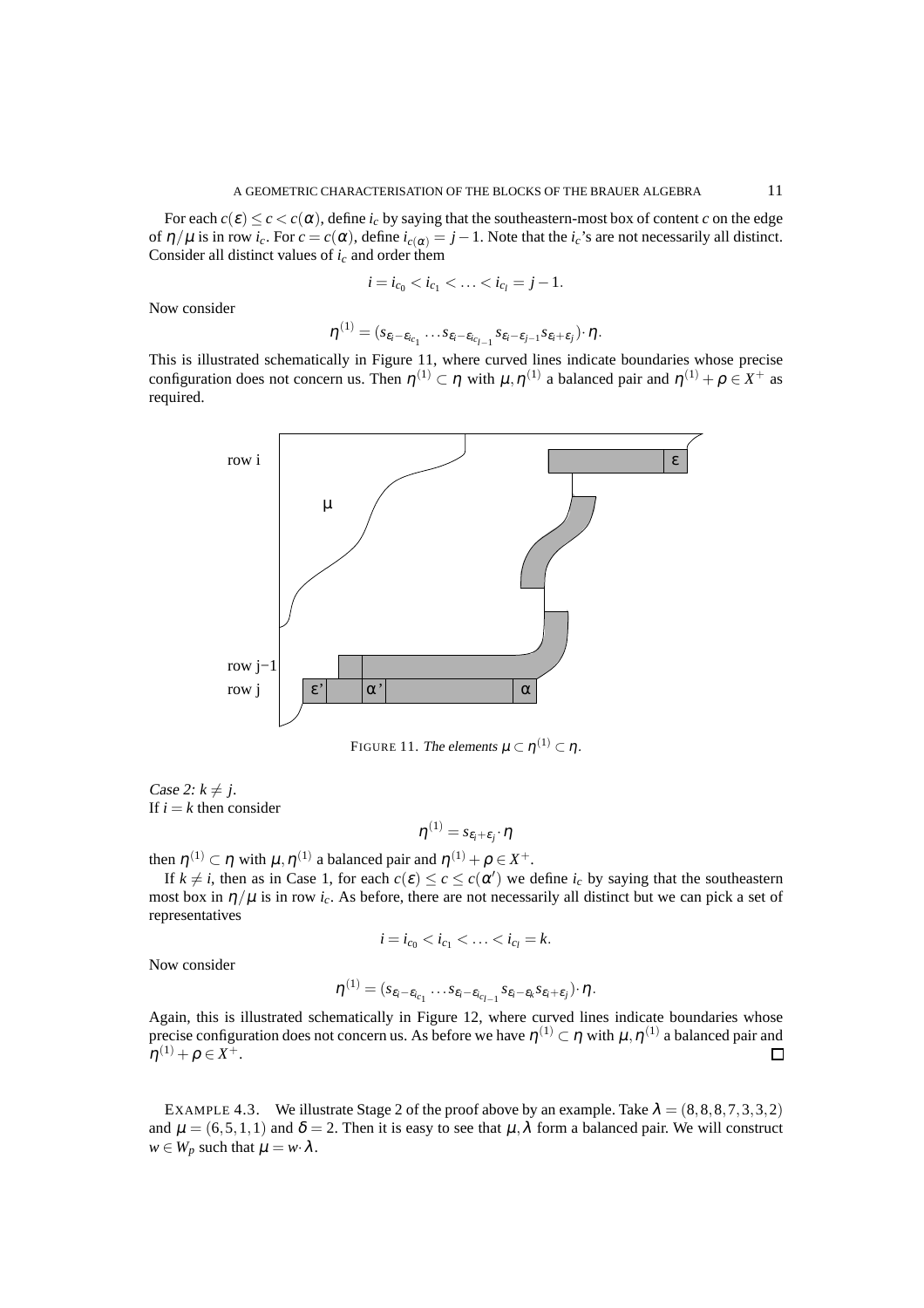For each  $c(\varepsilon) \leq c < c(\alpha)$ , define  $i_c$  by saying that the southeastern-most box of content *c* on the edge of  $\eta/\mu$  is in row *i<sub>c</sub>*. For  $c = c(\alpha)$ , define  $i_{c(\alpha)} = j - 1$ . Note that the *i<sub>c</sub>*'s are not necessarily all distinct. Consider all distinct values of  $i_c$  and order them

$$
i = i_{c_0} < i_{c_1} < \ldots < i_{c_l} = j - 1.
$$

Now consider

$$
\boldsymbol{\eta}^{(1)} = (s_{\varepsilon_i-\varepsilon_{i_{c_1}}}\dots s_{\varepsilon_i-\varepsilon_{i_{c_{l-1}}}}s_{\varepsilon_i-\varepsilon_{j-1}}s_{\varepsilon_i+\varepsilon_j})\cdot \boldsymbol{\eta}.
$$

This is illustrated schematically in Figure 11, where curved lines indicate boundaries whose precise configuration does not concern us. Then  $\eta^{(1)} \subset \eta$  with  $\mu, \eta^{(1)}$  a balanced pair and  $\eta^{(1)} + \rho \in X^+$  as required.



FIGURE 11. The elements  $\mu\subset\eta^{(1)}\subset\eta$  .

Case 2:  $k \neq j$ . If  $i = k$  then consider

$$
\eta^{(1)}=s_{\varepsilon_i+\varepsilon_j}\!\cdot\!\eta
$$

then  $\eta^{(1)} \subset \eta$  with  $\mu, \eta^{(1)}$  a balanced pair and  $\eta^{(1)} + \rho \in X^+$ .

If  $k \neq i$ , then as in Case 1, for each  $c(\varepsilon) \leq c \leq c(\alpha')$  we define  $i_c$  by saying that the southeastern most box in  $\eta/\mu$  is in row *i<sub>c</sub>*. As before, there are not necessarily all distinct but we can pick a set of representatives

$$
i = i_{c_0} < i_{c_1} < \ldots < i_{c_l} = k.
$$

Now consider

$$
\boldsymbol{\eta}^{(1)} = (s_{\varepsilon_i-\varepsilon_{i_{c_1}}} \dots s_{\varepsilon_i-\varepsilon_{i_{c_{l-1}}} s_{\varepsilon_i-\varepsilon_k} s_{\varepsilon_i+\varepsilon_j}) \cdot \boldsymbol{\eta}.
$$

Again, this is illustrated schematically in Figure 12, where curved lines indicate boundaries whose precise configuration does not concern us. As before we have  $\eta^{(1)} \subset \eta$  with  $\mu, \eta^{(1)}$  a balanced pair and  $\eta^{(1)} + \rho \in X^+.$  $\Box$ 

EXAMPLE 4.3. We illustrate Stage 2 of the proof above by an example. Take  $\lambda = (8, 8, 8, 7, 3, 3, 2)$ and  $\mu = (6, 5, 1, 1)$  and  $\delta = 2$ . Then it is easy to see that  $\mu, \lambda$  form a balanced pair. We will construct  $w \in W_p$  such that  $\mu = w \cdot \lambda$ .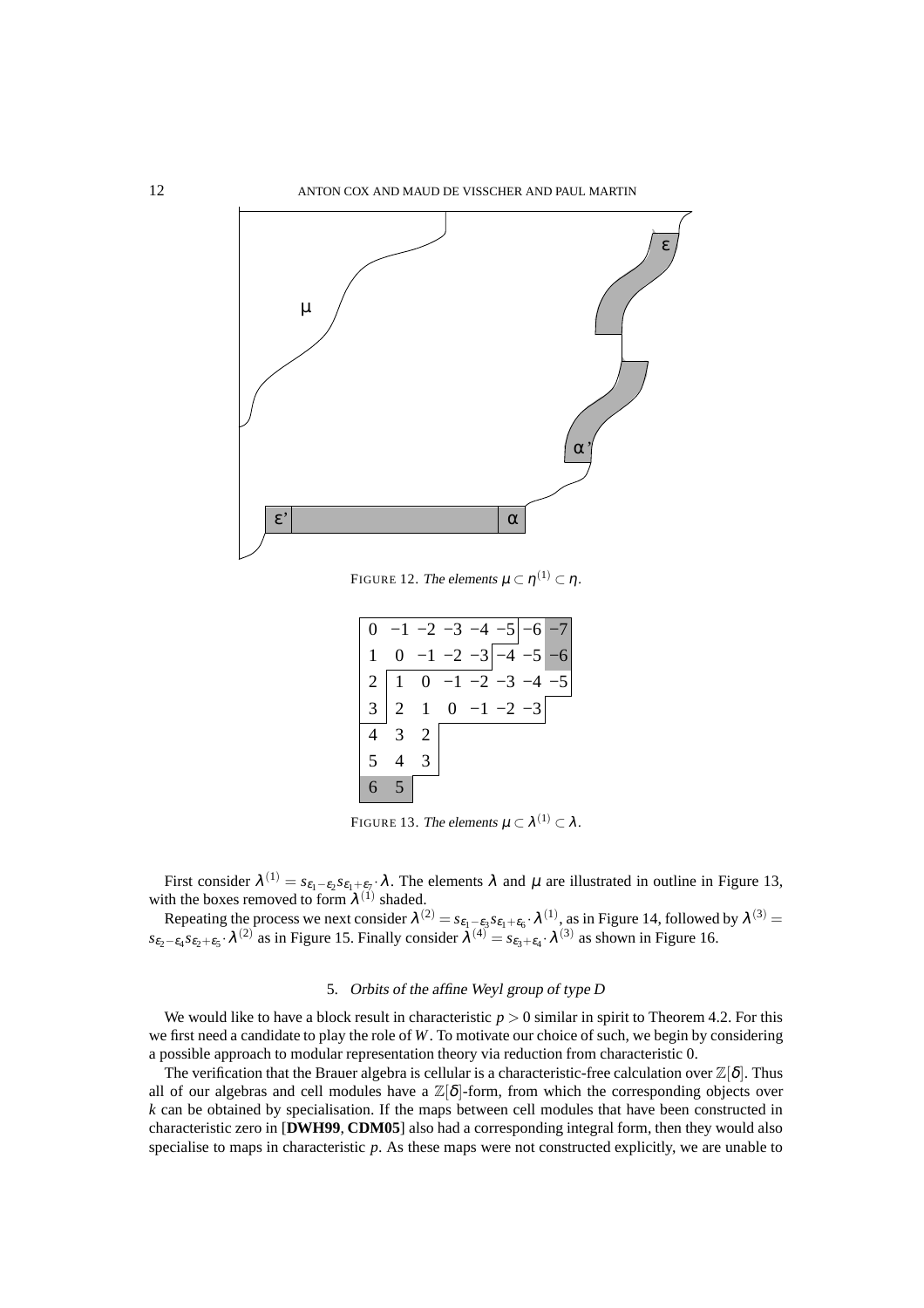

FIGURE 12. The elements  $\mu\subset\eta^{(1)}\subset\eta$  .

|                                       | $0 -1 -2 -3 -4 -5 -6 -7$                                               |                                    |  |                       |  |
|---------------------------------------|------------------------------------------------------------------------|------------------------------------|--|-----------------------|--|
|                                       |                                                                        |                                    |  | $0 -1 -2 -3 -4 -5 -6$ |  |
|                                       | $\left 2\right 1 \quad 0 \quad -1 \quad -2 \quad -3 \quad -4 \quad -5$ |                                    |  |                       |  |
|                                       | $ 3 2 \t1 \t0 \t-1 \t-2 \t-3 $                                         |                                    |  |                       |  |
|                                       | $4 \quad 3 \quad 2$                                                    |                                    |  |                       |  |
| $\begin{vmatrix} 5 & 4 \end{vmatrix}$ |                                                                        | $\begin{array}{c c} 3 \end{array}$ |  |                       |  |
|                                       | $6 \quad 5$                                                            |                                    |  |                       |  |

FIGURE 13. The elements  $\mu \subset \lambda^{(1)} \subset \lambda$ .

First consider  $\lambda^{(1)} = s_{\varepsilon_1-\varepsilon_2} s_{\varepsilon_1+\varepsilon_2} \cdot \lambda$ . The elements  $\lambda$  and  $\mu$  are illustrated in outline in Figure 13, with the boxes removed to form  $\lambda^{(1)}$  shaded.

Repeating the process we next consider  $\lambda^{(2)} = s_{\epsilon_1-\epsilon_3}s_{\epsilon_1+\epsilon_6}$ .  $\lambda^{(1)}$ , as in Figure 14, followed by  $\lambda^{(3)} =$  $s_{\epsilon_2-\epsilon_4}s_{\epsilon_2+\epsilon_5}$  · $\lambda^{(2)}$  as in Figure 15. Finally consider  $\lambda^{(4)} = s_{\epsilon_3+\epsilon_4}$  ·  $\lambda^{(3)}$  as shown in Figure 16.

#### 5. Orbits of the affine Weyl group of type *D*

We would like to have a block result in characteristic  $p > 0$  similar in spirit to Theorem 4.2. For this we first need a candidate to play the role of *W*. To motivate our choice of such, we begin by considering a possible approach to modular representation theory via reduction from characteristic 0.

The verification that the Brauer algebra is cellular is a characteristic-free calculation over  $\mathbb{Z}[\delta]$ . Thus all of our algebras and cell modules have a  $\mathbb{Z}[\delta]$ -form, from which the corresponding objects over *k* can be obtained by specialisation. If the maps between cell modules that have been constructed in characteristic zero in [**DWH99**, **CDM05**] also had a corresponding integral form, then they would also specialise to maps in characteristic p. As these maps were not constructed explicitly, we are unable to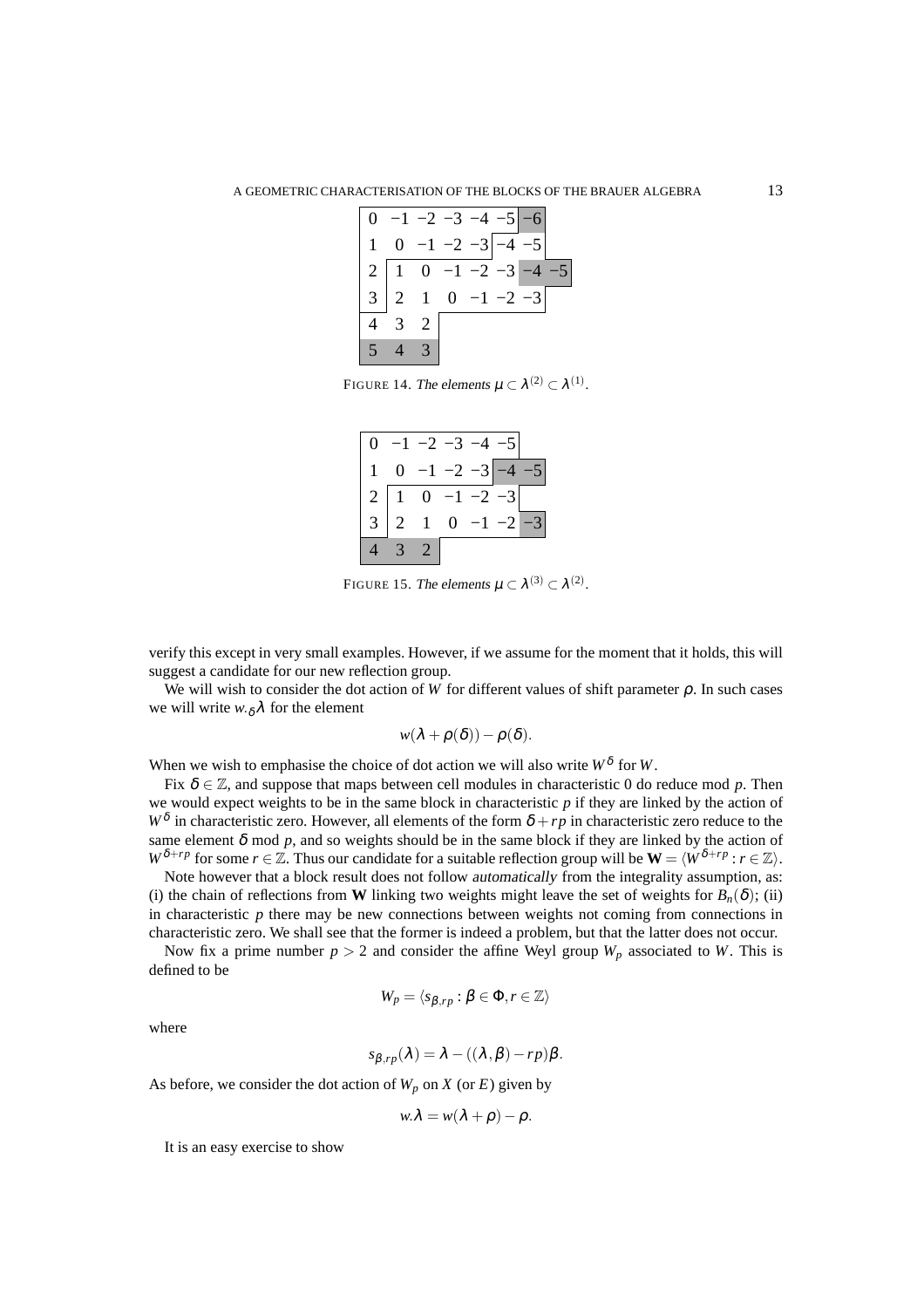|                 | $0 -1 -2 -3 -4 -5 -6$                                                               |              |  |  |
|-----------------|-------------------------------------------------------------------------------------|--------------|--|--|
|                 | $\begin{array}{ c c c c c } \hline 0 & -1 & -2 & -3 & -4 & -5 \ \hline \end{array}$ |              |  |  |
|                 | $\left 2\right 1 \quad 0 \quad -1 \quad -2 \quad -3 \left -4\right $                |              |  |  |
|                 | $\begin{vmatrix} 3 & 2 & 1 \end{vmatrix}$                                           | $0 -1 -2 -3$ |  |  |
| $\overline{4}$  | 2                                                                                   |              |  |  |
| $\vert 5 \vert$ | 3)                                                                                  |              |  |  |

FIGURE 14. The elements  $\mu \subset \lambda^{(2)} \subset \lambda^{(1)}$ .

|                |   | $-2$ $-3$             |                |              |      |
|----------------|---|-----------------------|----------------|--------------|------|
|                |   |                       |                | $-2 -3$      | $-5$ |
| $\overline{2}$ | 1 |                       | $0 -1$         | $\bar{-}2$ - |      |
|                |   |                       | $\overline{0}$ |              |      |
|                |   | $\mathcal{D}_{\cdot}$ |                |              |      |

FIGURE 15. The elements  $\mu \subset \lambda^{(3)} \subset \lambda^{(2)}$ .

verify this except in very small examples. However, if we assume for the moment that it holds, this will suggest a candidate for our new reflection group.

We will wish to consider the dot action of *W* for different values of shift parameter ρ. In such cases we will write  $w \delta \lambda$  for the element

$$
w(\lambda+\rho(\delta))-\rho(\delta).
$$

When we wish to emphasise the choice of dot action we will also write  $W^{\delta}$  for *W*.

Fix  $\delta \in \mathbb{Z}$ , and suppose that maps between cell modules in characteristic 0 do reduce mod p. Then we would expect weights to be in the same block in characteristic *p* if they are linked by the action of  $W^{\delta}$  in characteristic zero. However, all elements of the form  $\delta + rp$  in characteristic zero reduce to the same element  $\delta$  mod  $p$ , and so weights should be in the same block if they are linked by the action of *W*<sup>δ+*rp*</sup> for some *r* ∈ Z. Thus our candidate for a suitable reflection group will be  $W = \langle W^{\delta+rp} : r \in \mathbb{Z} \rangle$ .

Note however that a block result does not follow automatically from the integrality assumption, as: (i) the chain of reflections from **W** linking two weights might leave the set of weights for  $B_n(\delta)$ ; (ii) in characteristic  $p$  there may be new connections between weights not coming from connections in characteristic zero. We shall see that the former is indeed a problem, but that the latter does not occur.

Now fix a prime number  $p > 2$  and consider the affine Weyl group  $W_p$  associated to *W*. This is defined to be

$$
W_p = \langle s_{\beta, rp} : \beta \in \Phi, r \in \mathbb{Z} \rangle
$$

where

$$
s_{\beta,rp}(\lambda) = \lambda - ((\lambda, \beta) - rp)\beta.
$$

As before, we consider the dot action of  $W_p$  on  $X$  (or  $E$ ) given by

$$
w.\lambda = w(\lambda + \rho) - \rho.
$$

It is an easy exercise to show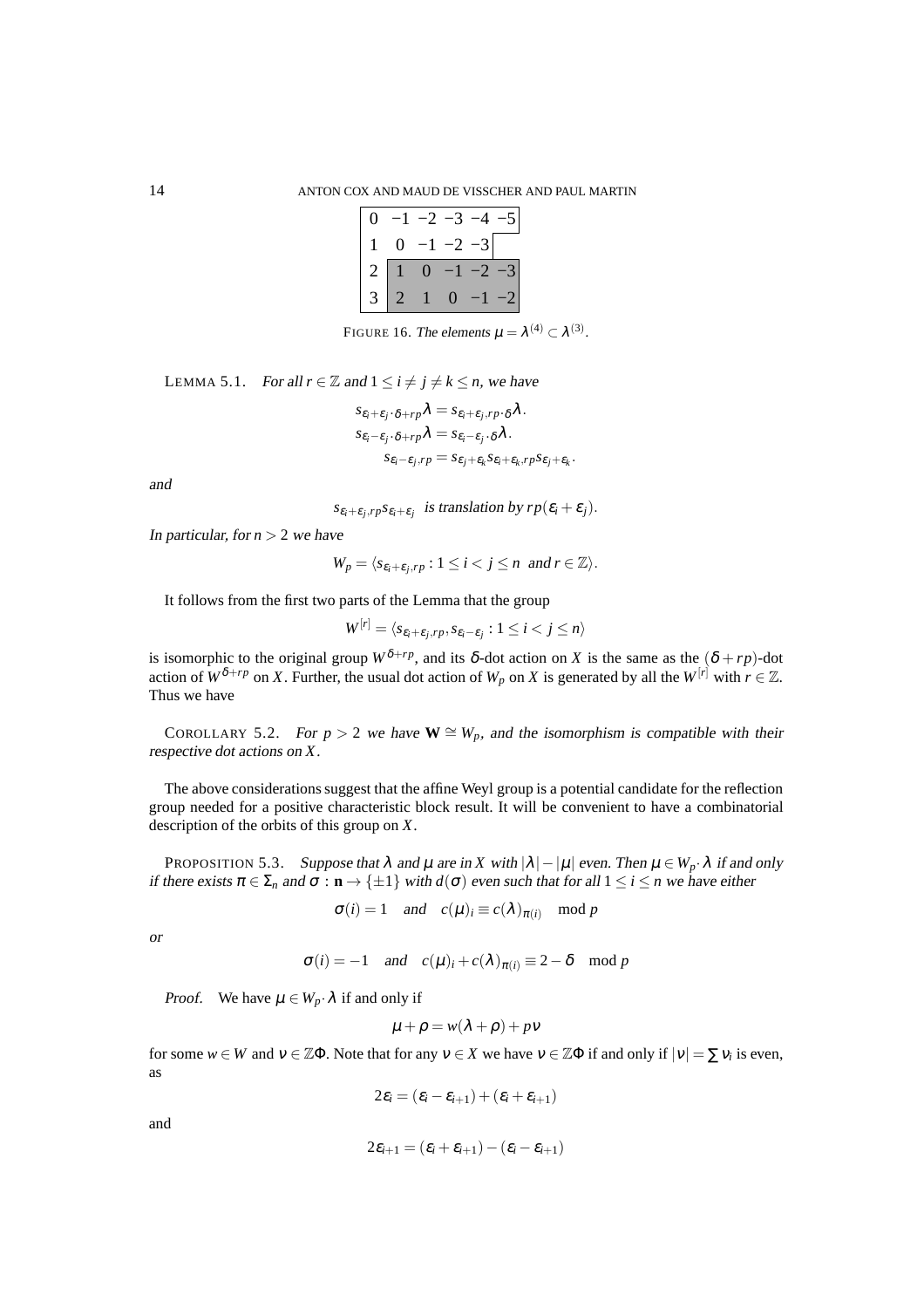|  | $-1$ $-2$ $-3$ $-$ |              |    |
|--|--------------------|--------------|----|
|  | $0 -1 -2 -3$       |              |    |
|  |                    | $0 -1 -2$    |    |
|  |                    | $\mathbf{O}$ | -2 |

FIGURE 16. The elements  $\mu = \lambda^{(4)} \subset \lambda^{(3)}$ .

LEMMA 5.1. For all  $r \in \mathbb{Z}$  and  $1 \le i \ne j \ne k \le n$ , we have

$$
s_{\varepsilon_i+\varepsilon_j\cdot\delta+rp}\lambda = s_{\varepsilon_i+\varepsilon_j,rp\cdot\delta}\lambda.
$$
  
\n
$$
s_{\varepsilon_i-\varepsilon_j\cdot\delta+rp}\lambda = s_{\varepsilon_i-\varepsilon_j\cdot\delta}\lambda.
$$
  
\n
$$
s_{\varepsilon_i-\varepsilon_j,rp} = s_{\varepsilon_j+\varepsilon_k} s_{\varepsilon_i+\varepsilon_k,rp} s_{\varepsilon_j+\varepsilon_k}
$$

.

and

*s*<sub>ε*i*</sub>+ε<sub>*j*</sub>,*rps*<sub>ε*i*</sub>+ε<sub>*j*</sub> is translation by  $rp(\varepsilon_i + \varepsilon_j)$ .

In particular, for  $n > 2$  we have

$$
W_p = \langle s_{\varepsilon_i + \varepsilon_j, rp} : 1 \le i < j \le n \text{ and } r \in \mathbb{Z} \rangle.
$$

It follows from the first two parts of the Lemma that the group

$$
W^{[r]} = \langle s_{\varepsilon_i + \varepsilon_j, rp}, s_{\varepsilon_i - \varepsilon_j} : 1 \le i < j \le n \rangle
$$

is isomorphic to the original group  $W^{\delta+rp}$ , and its  $\delta$ -dot action on *X* is the same as the  $(\delta + rp)$ -dot action of  $W^{\delta+rp}$  on *X*. Further, the usual dot action of  $W_p$  on *X* is generated by all the  $W^{[r]}$  with  $r \in \mathbb{Z}$ . Thus we have

COROLLARY 5.2. For  $p > 2$  we have  $\mathbf{W} \cong W_p$ , and the isomorphism is compatible with their respective dot actions on *X*.

The above considerations suggest that the affine Weyl group is a potential candidate for the reflection group needed for a positive characteristic block result. It will be convenient to have a combinatorial description of the orbits of this group on *X*.

PROPOSITION 5.3. Suppose that  $\lambda$  and  $\mu$  are in *X* with  $|\lambda| - |\mu|$  even. Then  $\mu \in W_p \cdot \lambda$  if and only if there exists  $\pi \in \Sigma_n$  and  $\sigma : \mathbf{n} \to \{\pm 1\}$  with  $d(\sigma)$  even such that for all  $1 \le i \le n$  we have either

$$
\sigma(i) = 1
$$
 and  $c(\mu)_i \equiv c(\lambda)_{\pi(i)}$  mod p

or

$$
\sigma(i) = -1
$$
 and  $c(\mu)_i + c(\lambda)_{\pi(i)} \equiv 2 - \delta \mod p$ 

*Proof.* We have  $\mu \in W_p \cdot \lambda$  if and only if

$$
\mu + \rho = w(\lambda + \rho) + p\nu
$$

for some  $w \in W$  and  $v \in \mathbb{Z}\Phi$ . Note that for any  $v \in X$  we have  $v \in \mathbb{Z}\Phi$  if and only if  $|v| = \sum v_i$  is even, as

$$
2\varepsilon_i = (\varepsilon_i - \varepsilon_{i+1}) + (\varepsilon_i + \varepsilon_{i+1})
$$

and

$$
2\varepsilon_{i+1} = (\varepsilon_i + \varepsilon_{i+1}) - (\varepsilon_i - \varepsilon_{i+1})
$$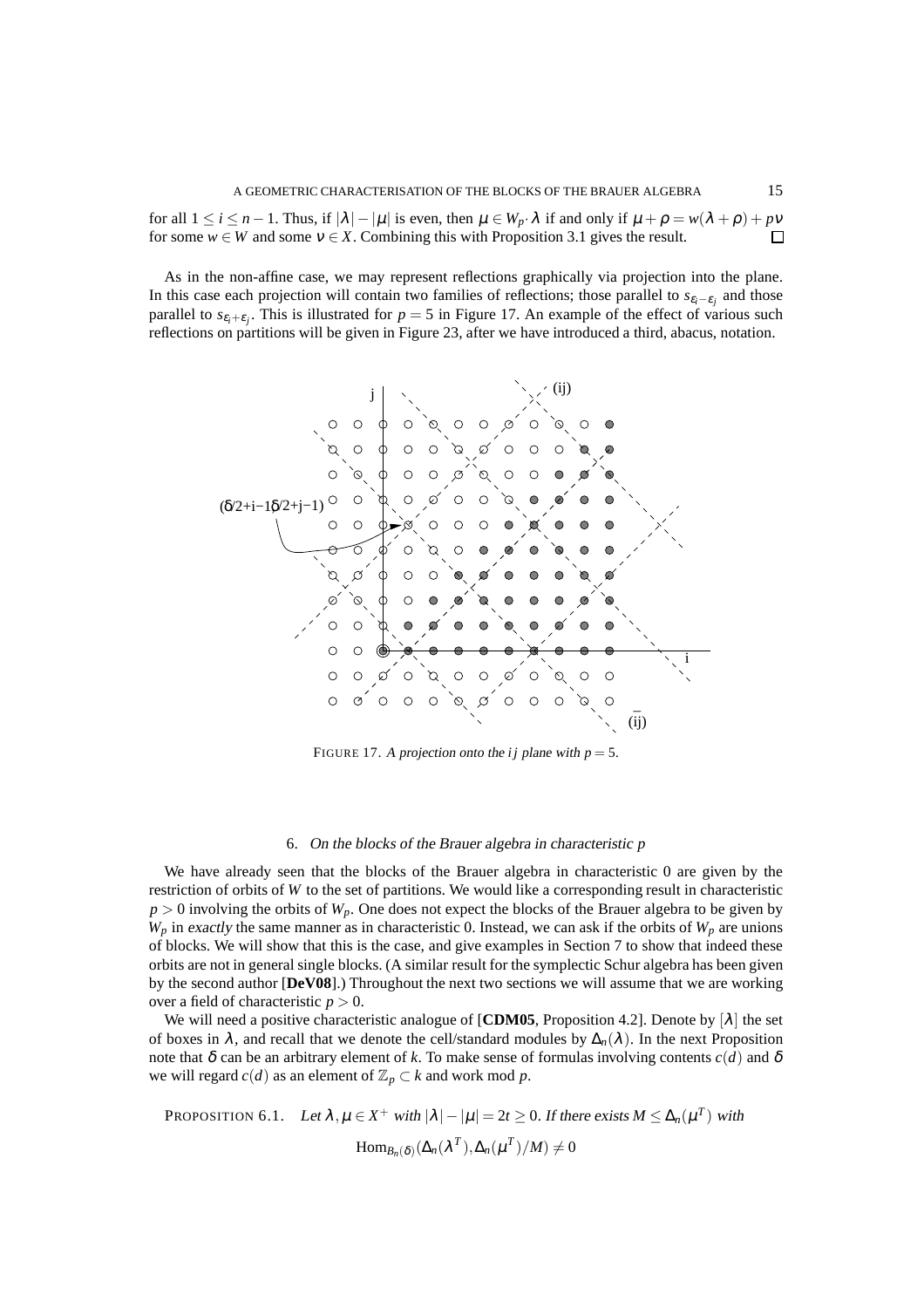for all  $1 \le i \le n-1$ . Thus, if  $|\lambda| - |\mu|$  is even, then  $\mu \in W_p \cdot \lambda$  if and only if  $\mu + \rho = w(\lambda + \rho) + pv$ for some  $w \in W$  and some  $v \in X$ . Combining this with Proposition 3.1 gives the result.  $\Box$ 

As in the non-affine case, we may represent reflections graphically via projection into the plane. In this case each projection will contain two families of reflections; those parallel to  $s_{\varepsilon_i-\varepsilon_j}$  and those parallel to  $s_{\varepsilon_i+\varepsilon_j}$ . This is illustrated for  $p=5$  in Figure 17. An example of the effect of various such reflections on partitions will be given in Figure 23, after we have introduced a third, abacus, notation.



FIGURE 17. A projection onto the *i j* plane with  $p = 5$ .

#### 6. On the blocks of the Brauer algebra in characteristic *p*

We have already seen that the blocks of the Brauer algebra in characteristic 0 are given by the restriction of orbits of *W* to the set of partitions. We would like a corresponding result in characteristic  $p > 0$  involving the orbits of  $W_p$ . One does not expect the blocks of the Brauer algebra to be given by  $W_p$  in exactly the same manner as in characteristic 0. Instead, we can ask if the orbits of  $W_p$  are unions of blocks. We will show that this is the case, and give examples in Section 7 to show that indeed these orbits are not in general single blocks. (A similar result for the symplectic Schur algebra has been given by the second author [**DeV08**].) Throughout the next two sections we will assume that we are working over a field of characteristic  $p > 0$ .

We will need a positive characteristic analogue of **[CDM05**, Proposition 4.2]. Denote by  $[\lambda]$  the set of boxes in  $\lambda$ , and recall that we denote the cell/standard modules by  $\Delta_n(\lambda)$ . In the next Proposition note that  $\delta$  can be an arbitrary element of *k*. To make sense of formulas involving contents  $c(d)$  and  $\delta$ we will regard  $c(d)$  as an element of  $\mathbb{Z}_p \subset k$  and work mod p.

PROPOSITION 6.1. Let 
$$
\lambda, \mu \in X^+
$$
 with  $|\lambda| - |\mu| = 2t \ge 0$ . If there exists  $M \le \Delta_n(\mu^T)$  with  

$$
\text{Hom}_{B_n(\delta)}(\Delta_n(\lambda^T), \Delta_n(\mu^T)/M) \ne 0
$$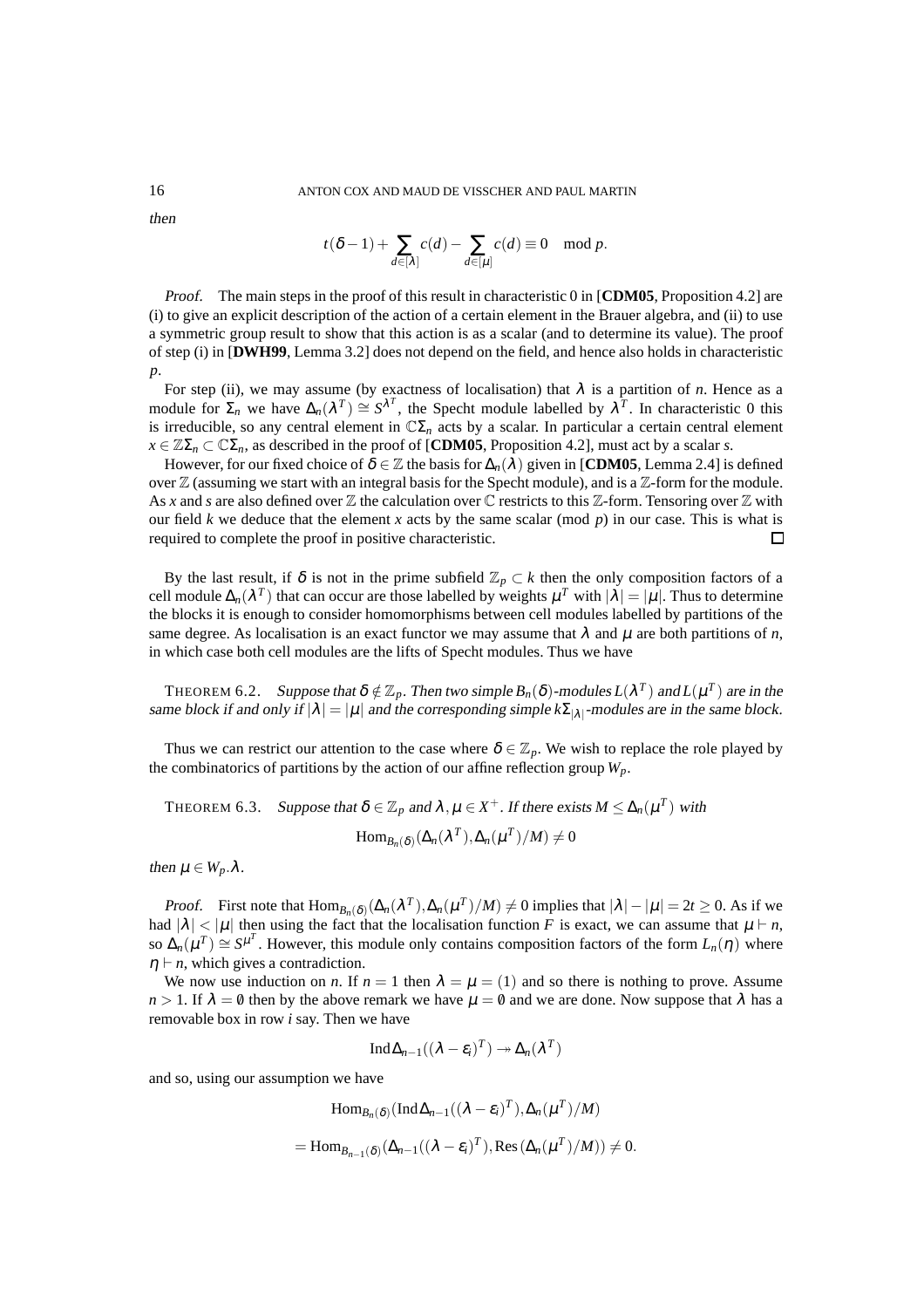then

$$
t(\delta-1)+\sum_{d\in[\lambda]}c(d)-\sum_{d\in[\mu]}c(d)\equiv 0\mod p.
$$

Proof. The main steps in the proof of this result in characteristic 0 in [**CDM05**, Proposition 4.2] are (i) to give an explicit description of the action of a certain element in the Brauer algebra, and (ii) to use a symmetric group result to show that this action is as a scalar (and to determine its value). The proof of step (i) in [**DWH99**, Lemma 3.2] does not depend on the field, and hence also holds in characteristic *p*.

For step (ii), we may assume (by exactness of localisation) that  $\lambda$  is a partition of *n*. Hence as a module for  $\Sigma_n$  we have  $\Delta_n(\lambda^T) \cong S^{\lambda^T}$ , the Specht module labelled by  $\lambda^T$ . In characteristic 0 this is irreducible, so any central element in  $\mathbb{C}\Sigma_n$  acts by a scalar. In particular a certain central element  $x \in \mathbb{Z}\Sigma_n \subset \mathbb{C}\Sigma_n$ , as described in the proof of [**CDM05**, Proposition 4.2], must act by a scalar *s*.

However, for our fixed choice of  $\delta \in \mathbb{Z}$  the basis for  $\Delta_n(\lambda)$  given in [**CDM05**, Lemma 2.4] is defined over  $\mathbb Z$  (assuming we start with an integral basis for the Specht module), and is a  $\mathbb Z$ -form for the module. As x and s are also defined over  $\mathbb Z$  the calculation over  $\mathbb C$  restricts to this  $\mathbb Z$ -form. Tensoring over  $\mathbb Z$  with our field *k* we deduce that the element *x* acts by the same scalar (mod *p*) in our case. This is what is required to complete the proof in positive characteristic. П

By the last result, if  $\delta$  is not in the prime subfield  $\mathbb{Z}_p \subset k$  then the only composition factors of a cell module  $\Delta_n(\lambda^T)$  that can occur are those labelled by weights  $\mu^T$  with  $|\lambda| = |\mu|$ . Thus to determine the blocks it is enough to consider homomorphisms between cell modules labelled by partitions of the same degree. As localisation is an exact functor we may assume that  $\lambda$  and  $\mu$  are both partitions of *n*, in which case both cell modules are the lifts of Specht modules. Thus we have

THEOREM 6.2. Suppose that  $\delta \notin \mathbb{Z}_p$ . Then two simple  $B_n(\delta)$ -modules  $L(\lambda^T)$  and  $L(\mu^T)$  are in the same block if and only if  $|\lambda| = |\mu|$  and the corresponding simple  $k\Sigma_{|\lambda|}$ -modules are in the same block.

Thus we can restrict our attention to the case where  $\delta \in \mathbb{Z}_p$ . We wish to replace the role played by the combinatorics of partitions by the action of our affine reflection group  $W_p$ .

THEOREM 6.3. Suppose that  $\delta \in \mathbb{Z}_p$  and  $\lambda, \mu \in X^+$ . If there exists  $M \leq \Delta_n(\mu^T)$  with

$$
\mathrm{Hom}_{B_n(\delta)}(\Delta_n(\lambda^T), \Delta_n(\mu^T)/M) \neq 0
$$

then  $\mu \in W_p \Delta$ .

*Proof.* First note that  $\text{Hom}_{B_n(\delta)}(\Delta_n(\lambda^T), \Delta_n(\mu^T)/M) \neq 0$  implies that  $|\lambda| - |\mu| = 2t \geq 0$ . As if we had  $|\lambda| < |\mu|$  then using the fact that the localisation function *F* is exact, we can assume that  $\mu \vdash n$ , so  $\Delta_n(\mu^T) \cong S^{\mu^T}$ . However, this module only contains composition factors of the form  $L_n(\eta)$  where  $\eta \vdash n$ , which gives a contradiction.

We now use induction on *n*. If  $n = 1$  then  $\lambda = \mu = (1)$  and so there is nothing to prove. Assume  $n > 1$ . If  $\lambda = \emptyset$  then by the above remark we have  $\mu = \emptyset$  and we are done. Now suppose that  $\lambda$  has a removable box in row *i* say. Then we have

$$
\operatorname{Ind}\Delta_{n-1}((\lambda - \varepsilon_i)^T) \to \Delta_n(\lambda^T)
$$

and so, using our assumption we have

$$
\text{Hom}_{B_n(\delta)}(\text{Ind}\,\Delta_{n-1}((\lambda-\varepsilon_i)^T),\Delta_n(\mu^T)/M)
$$
  
=\text{Hom}\_{B\_{n-1}(\delta)}(\Delta\_{n-1}((\lambda-\varepsilon\_i)^T),\text{Res}(\Delta\_n(\mu^T)/M))\neq 0.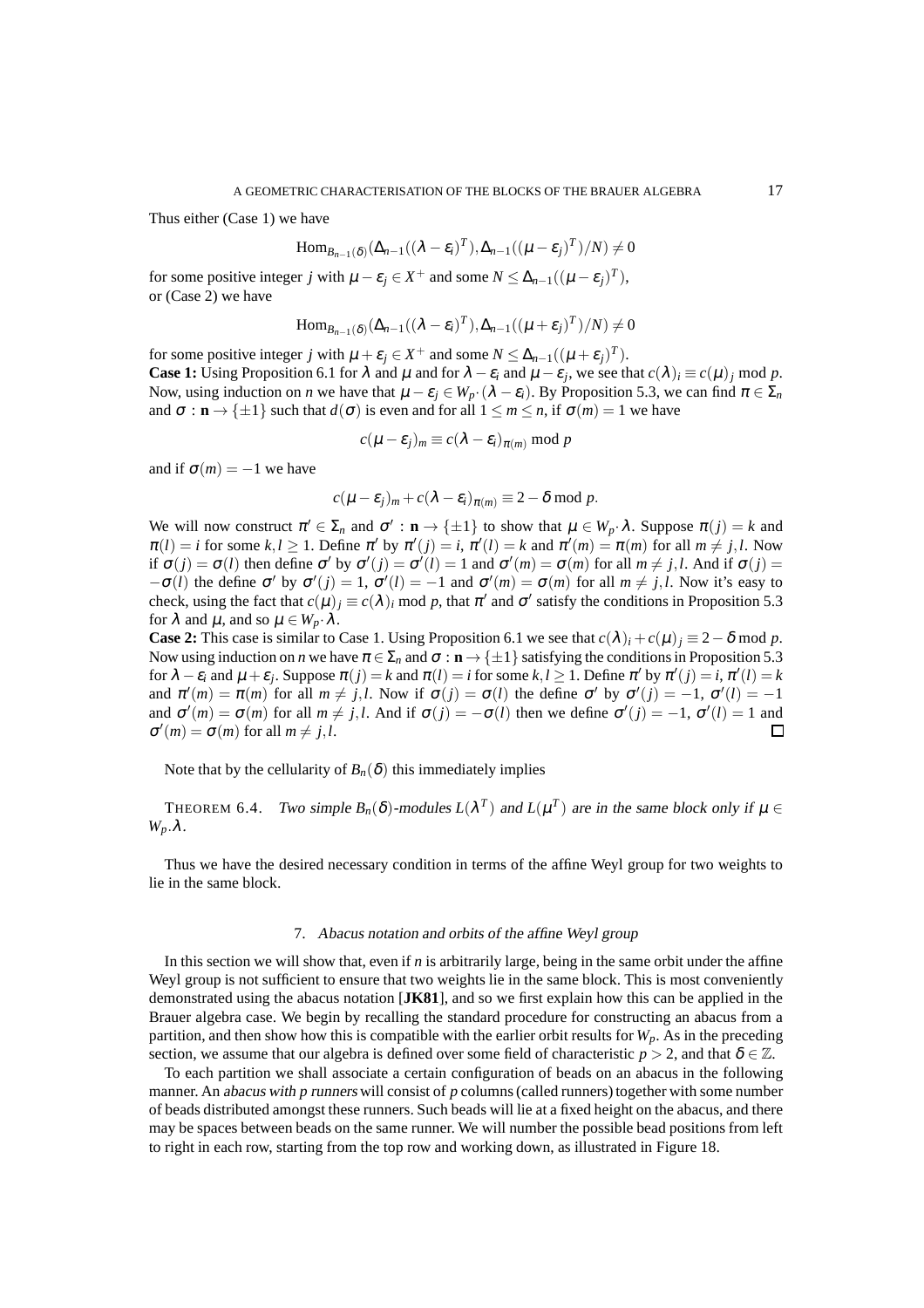Thus either (Case 1) we have

$$
\operatorname{Hom}_{B_{n-1}(\delta)}(\Delta_{n-1}((\lambda-\varepsilon_i)^T),\Delta_{n-1}((\mu-\varepsilon_j)^T)/N) \neq 0
$$

for some positive integer *j* with  $\mu - \varepsilon_j \in X^+$  and some  $N \leq \Delta_{n-1}((\mu - \varepsilon_j)^T)$ , or (Case 2) we have

$$
\operatorname{Hom}_{B_{n-1}(\delta)}(\Delta_{n-1}((\lambda-\varepsilon_i)^T),\Delta_{n-1}((\mu+\varepsilon_j)^T)/N)\neq 0
$$

for some positive integer *j* with  $\mu + \varepsilon_j \in X^+$  and some  $N \leq \Delta_{n-1}((\mu + \varepsilon_j)^T)$ . **Case 1:** Using Proposition 6.1 for  $\lambda$  and  $\mu$  and for  $\lambda - \varepsilon_i$  and  $\mu - \varepsilon_j$ , we see that  $c(\lambda)_i \equiv c(\mu)_j$  mod p. Now, using induction on *n* we have that  $\mu - \varepsilon_j \in W_p \cdot (\lambda - \varepsilon_i)$ . By Proposition 5.3, we can find  $\pi \in \Sigma_n$ and  $\sigma : \mathbf{n} \to \{\pm 1\}$  such that  $d(\sigma)$  is even and for all  $1 \le m \le n$ , if  $\sigma(m) = 1$  we have

$$
c(\mu - \varepsilon_j)_m \equiv c(\lambda - \varepsilon_i)_{\pi(m)} \bmod p
$$

and if  $\sigma(m) = -1$  we have

$$
c(\mu-\varepsilon_j)_m + c(\lambda-\varepsilon_i)_{\pi(m)} \equiv 2-\delta \bmod p.
$$

We will now construct  $\pi' \in \Sigma_n$  and  $\sigma' : \mathbf{n} \to \{\pm 1\}$  to show that  $\mu \in W_p \cdot \lambda$ . Suppose  $\pi(j) = k$  and  $\pi(l) = i$  for some  $k, l \ge 1$ . Define  $\pi'$  by  $\pi'(j) = i$ ,  $\pi'(l) = k$  and  $\pi'(m) = \pi(m)$  for all  $m \ne j, l$ . Now if  $\sigma(j) = \sigma(l)$  then define  $\sigma'$  by  $\sigma'(j) = \sigma'(l) = 1$  and  $\sigma'(m) = \sigma(m)$  for all  $m \neq j, l$ . And if  $\sigma(j) =$  $-\sigma(l)$  the define  $\sigma'$  by  $\sigma'(j) = 1$ ,  $\sigma'(l) = -1$  and  $\sigma'(m) = \sigma(m)$  for all  $m \neq j, l$ . Now it's easy to check, using the fact that  $c(\mu)_j \equiv c(\lambda)_i$  mod p, that  $\pi'$  and  $\sigma'$  satisfy the conditions in Proposition 5.3 for  $\lambda$  and  $\mu$ , and so  $\mu \in W_p \cdot \lambda$ .

**Case 2:** This case is similar to Case 1. Using Proposition 6.1 we see that  $c(\lambda)$ *i* +  $c(\mu)$ *j* ≡ 2 − δ mod *p*. Now using induction on *n* we have  $\pi \in \Sigma_n$  and  $\sigma : \mathbf{n} \to \{\pm 1\}$  satisfying the conditions in Proposition 5.3 for  $\lambda - \varepsilon_i$  and  $\mu + \varepsilon_j$ . Suppose  $\pi(j) = k$  and  $\pi(l) = i$  for some  $k, l \ge 1$ . Define  $\pi'$  by  $\pi'(j) = i$ ,  $\pi'(l) = k$ and  $\pi'(m) = \pi(m)$  for all  $m \neq j, l$ . Now if  $\sigma(j) = \sigma(l)$  the define  $\sigma'$  by  $\sigma'(j) = -1$ ,  $\sigma'(l) = -1$ and  $\sigma'(m) = \sigma(m)$  for all  $m \neq j, l$ . And if  $\sigma(j) = -\sigma(l)$  then we define  $\sigma'(j) = -1$ ,  $\sigma'(l) = 1$  and  $\sigma'(m) = \sigma(m)$  for all  $m \neq j, l$ . П

Note that by the cellularity of  $B_n(\delta)$  this immediately implies

THEOREM 6.4. Two simple  $B_n(\delta)$ -modules  $L(\lambda^T)$  and  $L(\mu^T)$  are in the same block only if  $\mu \in$ *Wp*.λ.

Thus we have the desired necessary condition in terms of the affine Weyl group for two weights to lie in the same block.

#### 7. Abacus notation and orbits of the affine Weyl group

In this section we will show that, even if *n* is arbitrarily large, being in the same orbit under the affine Weyl group is not sufficient to ensure that two weights lie in the same block. This is most conveniently demonstrated using the abacus notation [**JK81**], and so we first explain how this can be applied in the Brauer algebra case. We begin by recalling the standard procedure for constructing an abacus from a partition, and then show how this is compatible with the earlier orbit results for *Wp*. As in the preceding section, we assume that our algebra is defined over some field of characteristic  $p > 2$ , and that  $\delta \in \mathbb{Z}$ .

To each partition we shall associate a certain configuration of beads on an abacus in the following manner. An abacus with *p* runners will consist of *p* columns (called runners) together with some number of beads distributed amongst these runners. Such beads will lie at a fixed height on the abacus, and there may be spaces between beads on the same runner. We will number the possible bead positions from left to right in each row, starting from the top row and working down, as illustrated in Figure 18.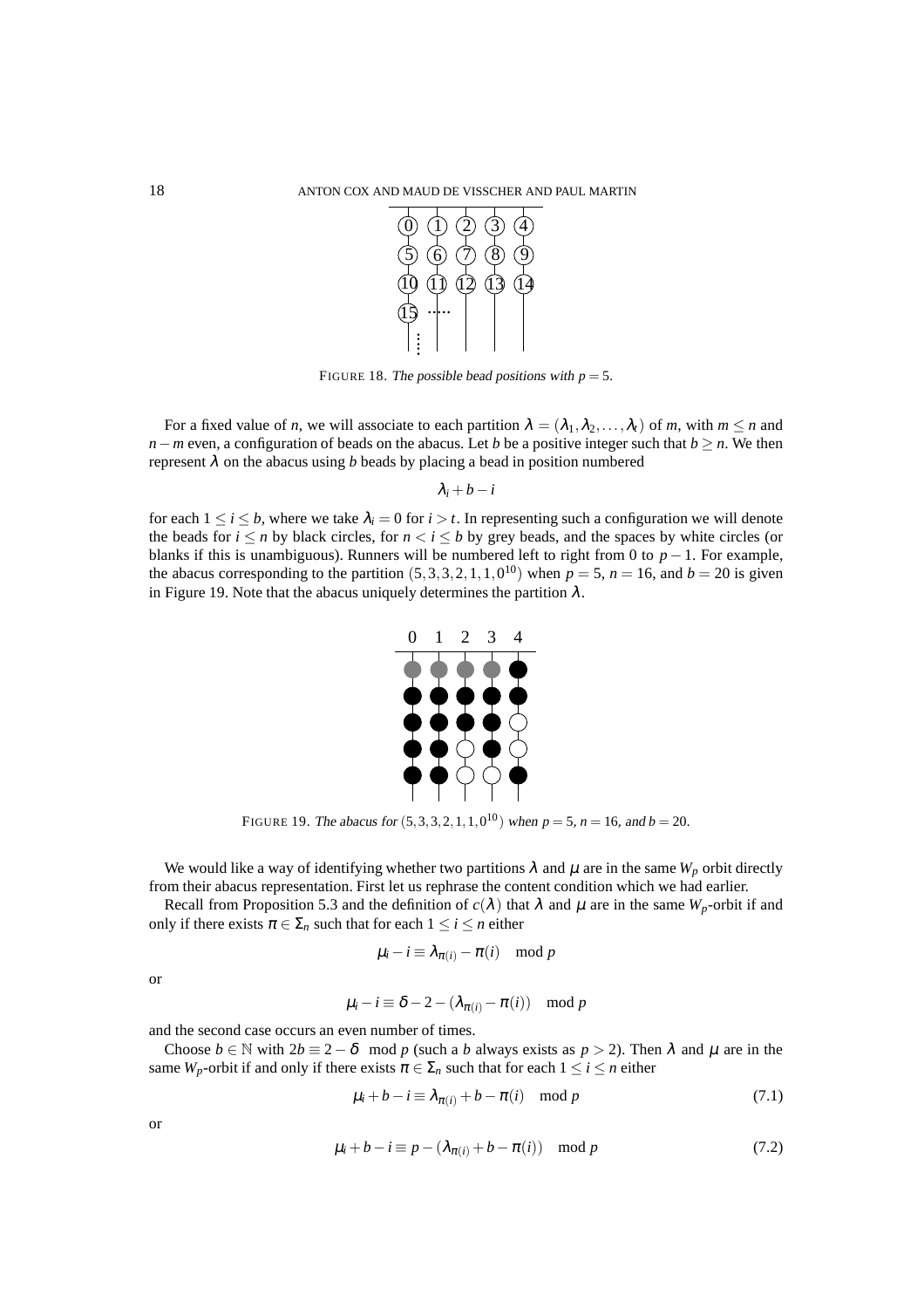

FIGURE 18. The possible bead positions with  $p = 5$ .

For a fixed value of *n*, we will associate to each partition  $\lambda = (\lambda_1, \lambda_2, ..., \lambda_t)$  of *m*, with  $m \le n$  and *n*−*m* even, a configuration of beads on the abacus. Let *b* be a positive integer such that *b* > *n*. We then represent  $\lambda$  on the abacus using *b* beads by placing a bead in position numbered

 $λ<sub>i</sub> + b - i$ 

for each  $1 \le i \le b$ , where we take  $\lambda_i = 0$  for  $i > t$ . In representing such a configuration we will denote the beads for  $i \le n$  by black circles, for  $n < i \le b$  by grey beads, and the spaces by white circles (or blanks if this is unambiguous). Runners will be numbered left to right from 0 to  $p - 1$ . For example, the abacus corresponding to the partition  $(5,3,3,2,1,1,0^{10})$  when  $p = 5$ ,  $n = 16$ , and  $b = 20$  is given in Figure 19. Note that the abacus uniquely determines the partition  $\lambda$ .



FIGURE 19. The abacus for  $(5,3,3,2,1,1,0^{10})$  when  $p = 5$ ,  $n = 16$ , and  $b = 20$ .

We would like a way of identifying whether two partitions  $\lambda$  and  $\mu$  are in the same  $W_p$  orbit directly from their abacus representation. First let us rephrase the content condition which we had earlier.

Recall from Proposition 5.3 and the definition of  $c(\lambda)$  that  $\lambda$  and  $\mu$  are in the same  $W_p$ -orbit if and only if there exists  $\pi \in \Sigma_n$  such that for each  $1 \le i \le n$  either

$$
\mu_i - i \equiv \lambda_{\pi(i)} - \pi(i) \mod p
$$

or

$$
\mu_i - i \equiv \delta - 2 - (\lambda_{\pi(i)} - \pi(i)) \mod p
$$

and the second case occurs an even number of times.

Choose  $b \in \mathbb{N}$  with  $2b \equiv 2 - \delta \mod p$  (such a *b* always exists as  $p > 2$ ). Then  $\lambda$  and  $\mu$  are in the same *W<sub>p</sub>*-orbit if and only if there exists  $\pi \in \Sigma_n$  such that for each  $1 \le i \le n$  either

$$
\mu_i + b - i \equiv \lambda_{\pi(i)} + b - \pi(i) \mod p \tag{7.1}
$$

or

$$
\mu_i + b - i \equiv p - (\lambda_{\pi(i)} + b - \pi(i)) \mod p \tag{7.2}
$$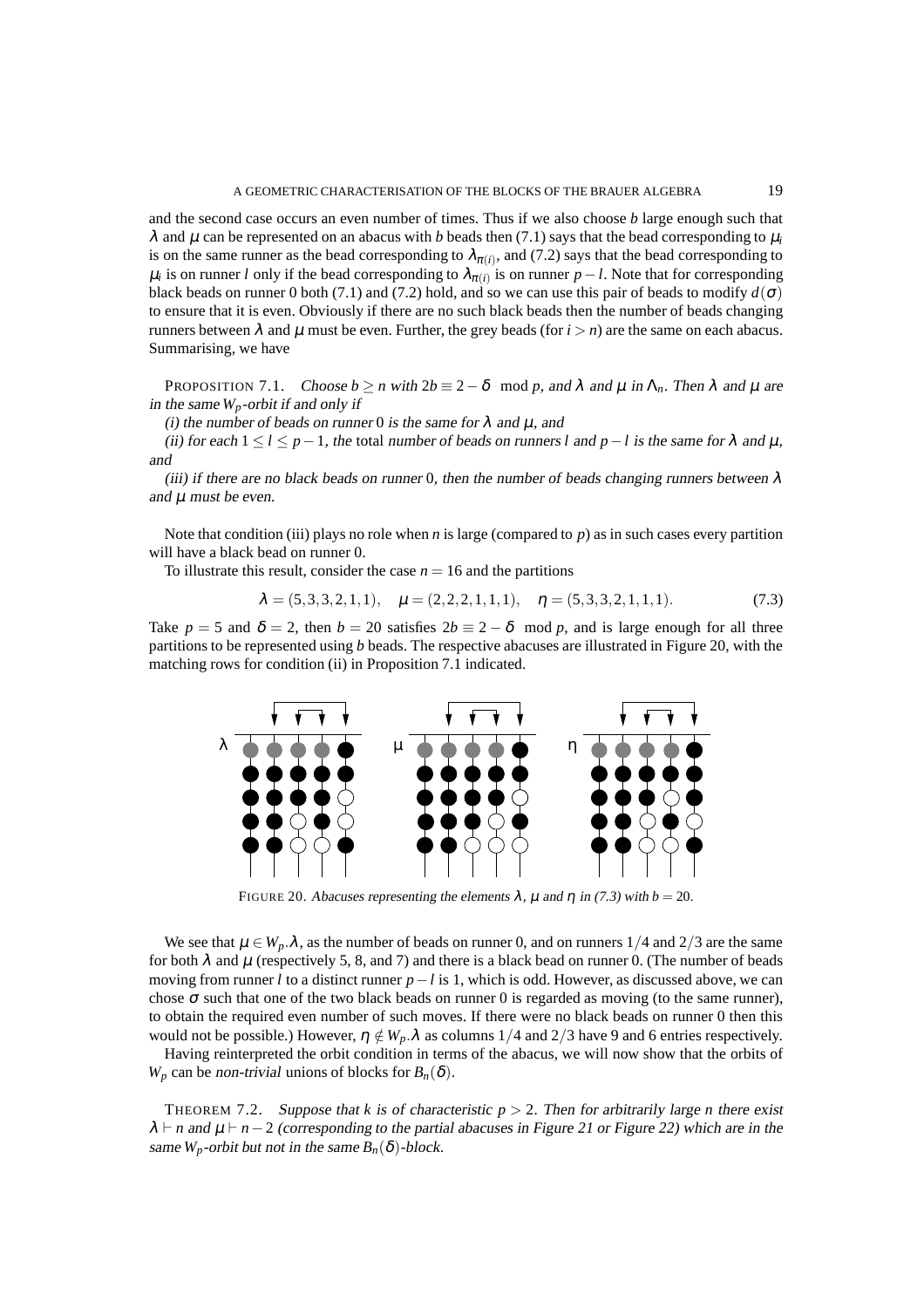and the second case occurs an even number of times. Thus if we also choose *b* large enough such that  $\lambda$  and  $\mu$  can be represented on an abacus with *b* beads then (7.1) says that the bead corresponding to  $\mu_i$ is on the same runner as the bead corresponding to  $\lambda_{\pi(i)}$ , and (7.2) says that the bead corresponding to  $\mu_i$  is on runner *l* only if the bead corresponding to  $\lambda_{\pi(i)}$  is on runner  $p-l$ . Note that for corresponding black beads on runner 0 both (7.1) and (7.2) hold, and so we can use this pair of beads to modify  $d(\sigma)$ to ensure that it is even. Obviously if there are no such black beads then the number of beads changing runners between  $λ$  and  $μ$  must be even. Further, the grey beads (for  $i > n$ ) are the same on each abacus. Summarising, we have

PROPOSITION 7.1. Choose  $b \ge n$  with  $2b \equiv 2-\delta \mod p$ , and  $\lambda$  and  $\mu$  in  $\Lambda_n$ . Then  $\lambda$  and  $\mu$  are in the same  $W_p$ -orbit if and only if

(i) the number of beads on runner 0 is the same for  $\lambda$  and  $\mu$ , and

(ii) for each  $1 \le l \le p-1$ , the total number of beads on runners *l* and  $p-l$  is the same for  $\lambda$  and  $\mu$ , and

(iii) if there are no black beads on runner 0, then the number of beads changing runners between  $\lambda$ and  $\mu$  must be even.

Note that condition (iii) plays no role when  $n$  is large (compared to  $p$ ) as in such cases every partition will have a black bead on runner 0.

To illustrate this result, consider the case  $n = 16$  and the partitions

$$
\lambda = (5, 3, 3, 2, 1, 1), \quad \mu = (2, 2, 2, 1, 1, 1), \quad \eta = (5, 3, 3, 2, 1, 1, 1). \tag{7.3}
$$

Take  $p = 5$  and  $\delta = 2$ , then  $b = 20$  satisfies  $2b \equiv 2 - \delta \mod p$ , and is large enough for all three partitions to be represented using *b* beads. The respective abacuses are illustrated in Figure 20, with the matching rows for condition (ii) in Proposition 7.1 indicated.



FIGURE 20. Abacuses representing the elements  $\lambda$ ,  $\mu$  and  $\eta$  in (7.3) with  $b = 20$ .

We see that  $\mu \in W_p \hat{\lambda}$ , as the number of beads on runner 0, and on runners  $1/4$  and  $2/3$  are the same for both  $\lambda$  and  $\mu$  (respectively 5, 8, and 7) and there is a black bead on runner 0. (The number of beads moving from runner *l* to a distinct runner *p*−*l* is 1, which is odd. However, as discussed above, we can chose  $\sigma$  such that one of the two black beads on runner 0 is regarded as moving (to the same runner), to obtain the required even number of such moves. If there were no black beads on runner 0 then this would not be possible.) However,  $\eta \notin W_p \cdot \lambda$  as columns 1/4 and 2/3 have 9 and 6 entries respectively.

Having reinterpreted the orbit condition in terms of the abacus, we will now show that the orbits of *W<sub>p</sub>* can be non-trivial unions of blocks for  $B_n(\delta)$ .

THEOREM 7.2. Suppose that *k* is of characteristic  $p > 2$ . Then for arbitrarily large *n* there exist  $\lambda$  ⊢ *n* and  $\mu$  ⊢ *n* − 2 (corresponding to the partial abacuses in Figure 21 or Figure 22) which are in the same  $W_p$ -orbit but not in the same  $B_n(\delta)$ -block.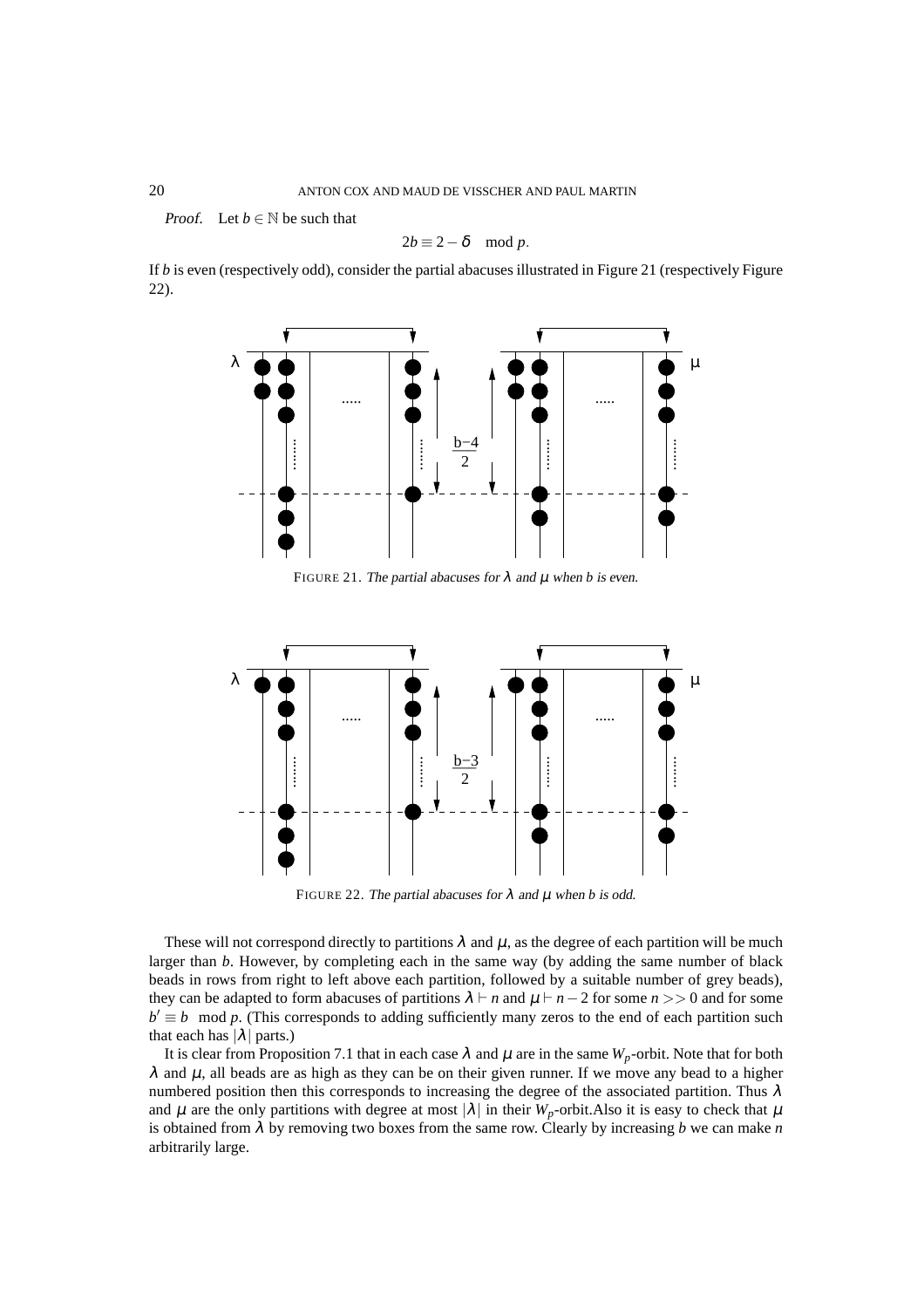*Proof.* Let  $b \in \mathbb{N}$  be such that

$$
2b \equiv 2 - \delta \mod p.
$$

If  $b$  is even (respectively odd), consider the partial abacuses illustrated in Figure 21 (respectively Figure 22).



FIGURE 21. The partial abacuses for  $\lambda$  and  $\mu$  when *b* is even.



FIGURE 22. The partial abacuses for  $\lambda$  and  $\mu$  when *b* is odd.

These will not correspond directly to partitions  $\lambda$  and  $\mu$ , as the degree of each partition will be much larger than *b*. However, by completing each in the same way (by adding the same number of black beads in rows from right to left above each partition, followed by a suitable number of grey beads), they can be adapted to form abacuses of partitions  $\lambda \vdash n$  and  $\mu \vdash n-2$  for some  $n >> 0$  and for some  $b' \equiv b \mod p$ . (This corresponds to adding sufficiently many zeros to the end of each partition such that each has  $|\lambda|$  parts.)

It is clear from Proposition 7.1 that in each case  $\lambda$  and  $\mu$  are in the same  $W_p$ -orbit. Note that for both  $λ$  and  $μ$ , all beads are as high as they can be on their given runner. If we move any bead to a higher numbered position then this corresponds to increasing the degree of the associated partition. Thus  $\lambda$ and  $\mu$  are the only partitions with degree at most  $|\lambda|$  in their  $W_p$ -orbit.Also it is easy to check that  $\mu$ is obtained from λ by removing two boxes from the same row. Clearly by increasing *b* we can make *n* arbitrarily large.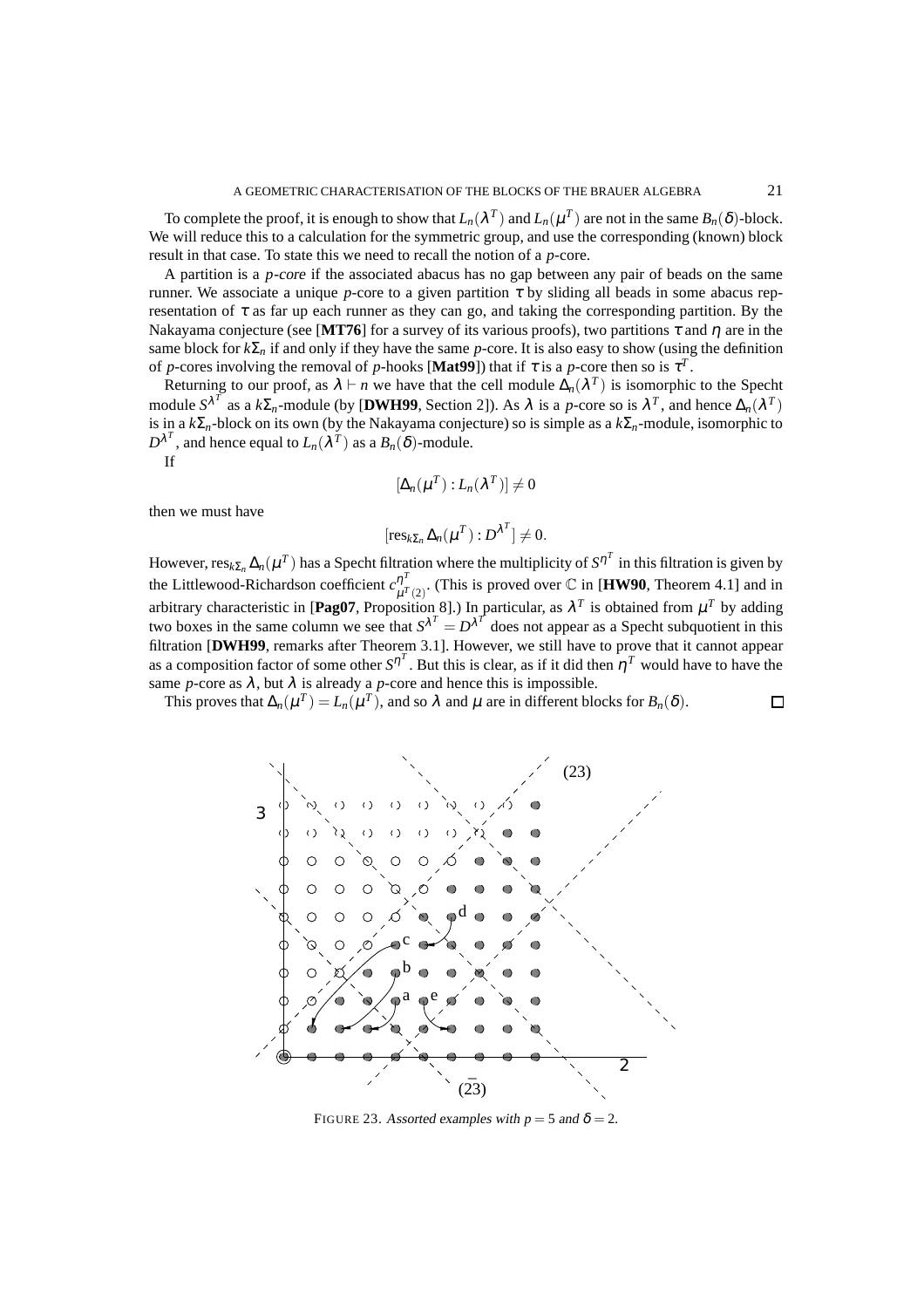To complete the proof, it is enough to show that  $L_n(\lambda^T)$  and  $L_n(\mu^T)$  are not in the same  $B_n(\delta)$ -block. We will reduce this to a calculation for the symmetric group, and use the corresponding (known) block result in that case. To state this we need to recall the notion of a *p*-core.

A partition is a *p*-core if the associated abacus has no gap between any pair of beads on the same runner. We associate a unique *p*-core to a given partition  $\tau$  by sliding all beads in some abacus representation of  $\tau$  as far up each runner as they can go, and taking the corresponding partition. By the Nakayama conjecture (see [MT76] for a survey of its various proofs), two partitions  $\tau$  and  $\eta$  are in the same block for  $k\Sigma_n$  if and only if they have the same *p*-core. It is also easy to show (using the definition of *p*-cores involving the removal of *p*-hooks [**Mat99**]) that if  $\tau$  is a *p*-core then so is  $\tau^T$ .

Returning to our proof, as  $\lambda \vdash n$  we have that the cell module  $\Delta_n(\lambda^T)$  is isomorphic to the Specht module  $S^{\lambda^T}$  as a  $k\Sigma_n$ -module (by [DWH99, Section 2]). As  $\lambda$  is a *p*-core so is  $\lambda^T$ , and hence  $\Delta_n(\lambda^T)$ is in a *k*Σ*n*-block on its own (by the Nakayama conjecture) so is simple as a *k*Σ*n*-module, isomorphic to  $D^{\lambda^T}$ , and hence equal to  $L_n(\lambda^T)$  as a  $B_n(\delta)$ -module. If

$$
[\Delta_n(\mu^T):L_n(\lambda^T)]\neq 0
$$

then we must have

$$
[\operatorname{res}_{k\Sigma_n}\Delta_n(\mu^T):D^{\lambda^T}]\neq 0.
$$

However,  $res_{k\Sigma_n} \Delta_n(\mu^T)$  has a Specht filtration where the multiplicity of  $S^{n^T}$  in this filtration is given by the Littlewood-Richardson coefficient  $c_{1}^{\eta}$ <sup>7</sup>  $\mu^{\prime\prime}$  (This is proved over  $\mathbb C$  in [**HW90**, Theorem 4.1] and in arbitrary characteristic in [Pag07, Proposition 8].) In particular, as  $\lambda^T$  is obtained from  $\mu^T$  by adding two boxes in the same column we see that  $S^{\lambda^T} = D^{\lambda^T}$  does not appear as a Specht subquotient in this filtration [**DWH99**, remarks after Theorem 3.1]. However, we still have to prove that it cannot appear as a composition factor of some other  $S^{\eta^T}$ . But this is clear, as if it did then  $\eta^T$  would have to have the same *p*-core as  $\lambda$ , but  $\lambda$  is already a *p*-core and hence this is impossible.

 $\Box$ 

This proves that  $\Delta_n(\mu^T) = L_n(\mu^T)$ , and so  $\lambda$  and  $\mu$  are in different blocks for  $B_n(\delta)$ .



FIGURE 23. Assorted examples with  $p = 5$  and  $\delta = 2$ .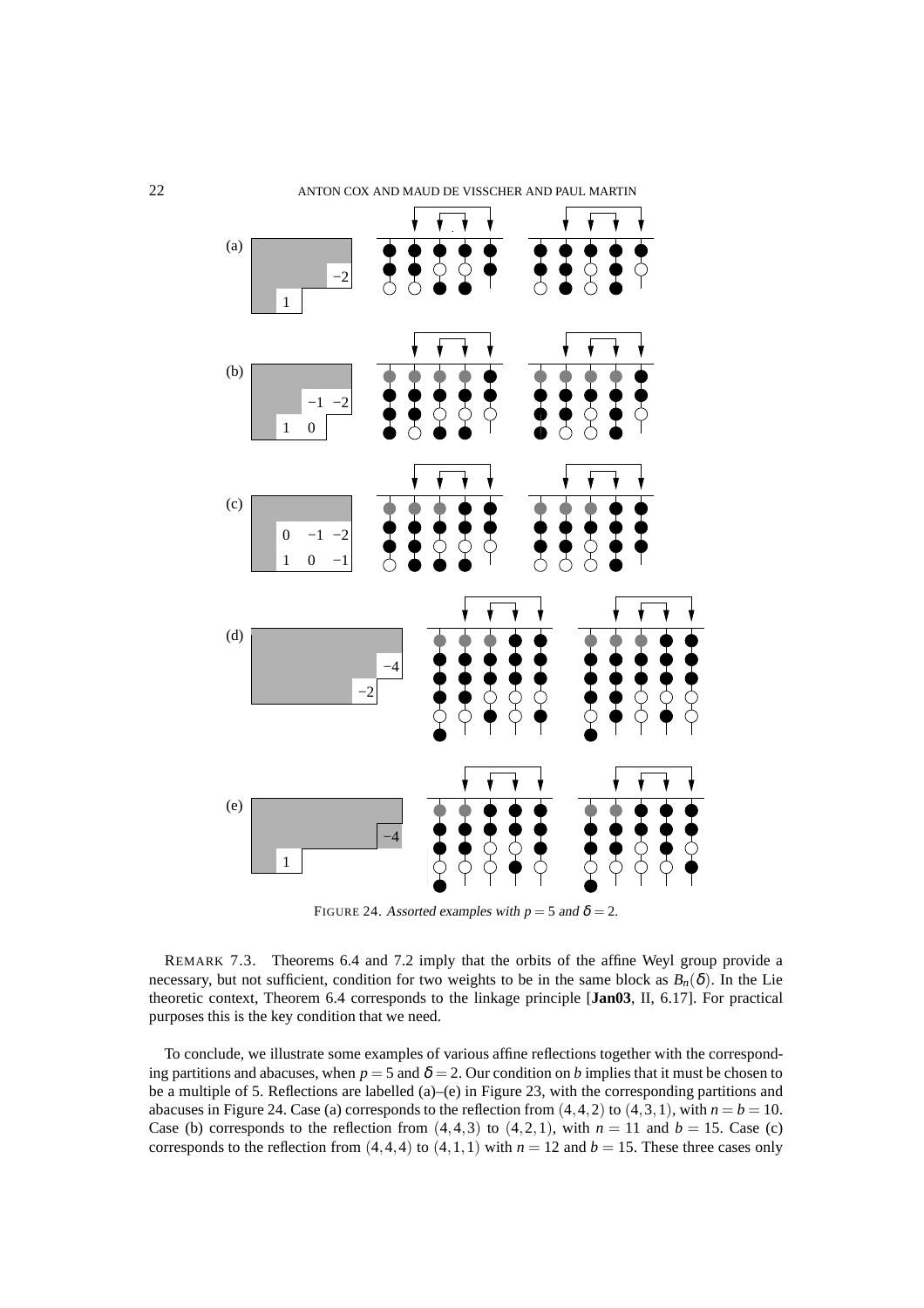

FIGURE 24. Assorted examples with  $p = 5$  and  $\delta = 2$ .

REMARK 7.3. Theorems 6.4 and 7.2 imply that the orbits of the affine Weyl group provide a necessary, but not sufficient, condition for two weights to be in the same block as  $B_n(\delta)$ . In the Lie theoretic context, Theorem 6.4 corresponds to the linkage principle [**Jan03**, II, 6.17]. For practical purposes this is the key condition that we need.

To conclude, we illustrate some examples of various affine reflections together with the corresponding partitions and abacuses, when  $p = 5$  and  $\delta = 2$ . Our condition on *b* implies that it must be chosen to be a multiple of 5. Reflections are labelled (a)–(e) in Figure 23, with the corresponding partitions and abacuses in Figure 24. Case (a) corresponds to the reflection from  $(4,4,2)$  to  $(4,3,1)$ , with  $n = b = 10$ . Case (b) corresponds to the reflection from  $(4,4,3)$  to  $(4,2,1)$ , with  $n = 11$  and  $b = 15$ . Case (c) corresponds to the reflection from  $(4,4,4)$  to  $(4,1,1)$  with  $n = 12$  and  $b = 15$ . These three cases only